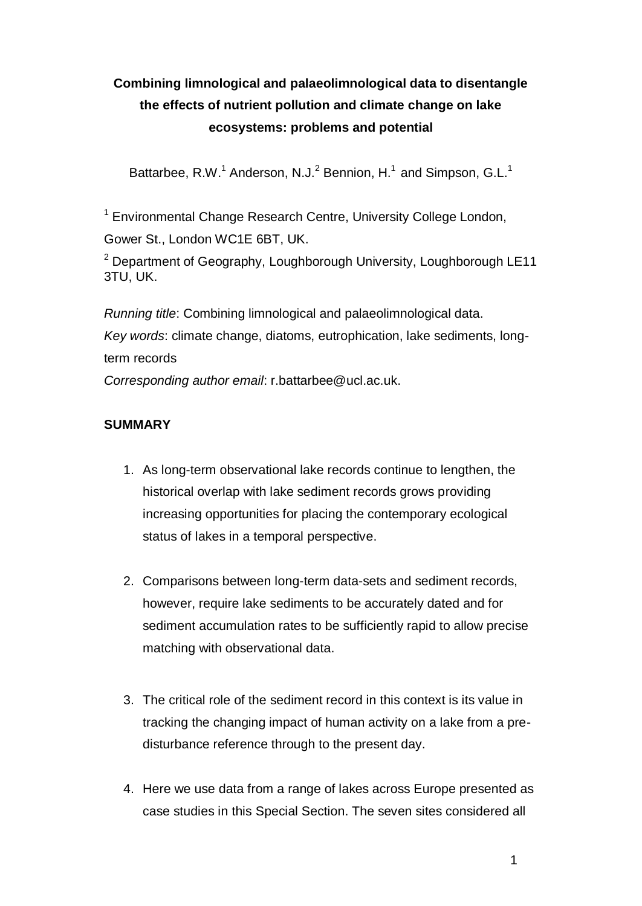# **Combining limnological and palaeolimnological data to disentangle the effects of nutrient pollution and climate change on lake ecosystems: problems and potential**

Battarbee, R.W.<sup>1</sup> Anderson, N.J.<sup>2</sup> Bennion, H.<sup>1</sup> and Simpson, G.L.<sup>1</sup>

<sup>1</sup> Environmental Change Research Centre, University College London, Gower St., London WC1E 6BT, UK.

 $2$  Department of Geography, Loughborough University, Loughborough LE11 3TU, UK.

*Running title*: Combining limnological and palaeolimnological data. *Key words*: climate change, diatoms, eutrophication, lake sediments, longterm records *Corresponding author email*: r.battarbee@ucl.ac.uk.

# **SUMMARY**

- 1. As long-term observational lake records continue to lengthen, the historical overlap with lake sediment records grows providing increasing opportunities for placing the contemporary ecological status of lakes in a temporal perspective.
- 2. Comparisons between long-term data-sets and sediment records, however, require lake sediments to be accurately dated and for sediment accumulation rates to be sufficiently rapid to allow precise matching with observational data.
- 3. The critical role of the sediment record in this context is its value in tracking the changing impact of human activity on a lake from a predisturbance reference through to the present day.
- 4. Here we use data from a range of lakes across Europe presented as case studies in this Special Section. The seven sites considered all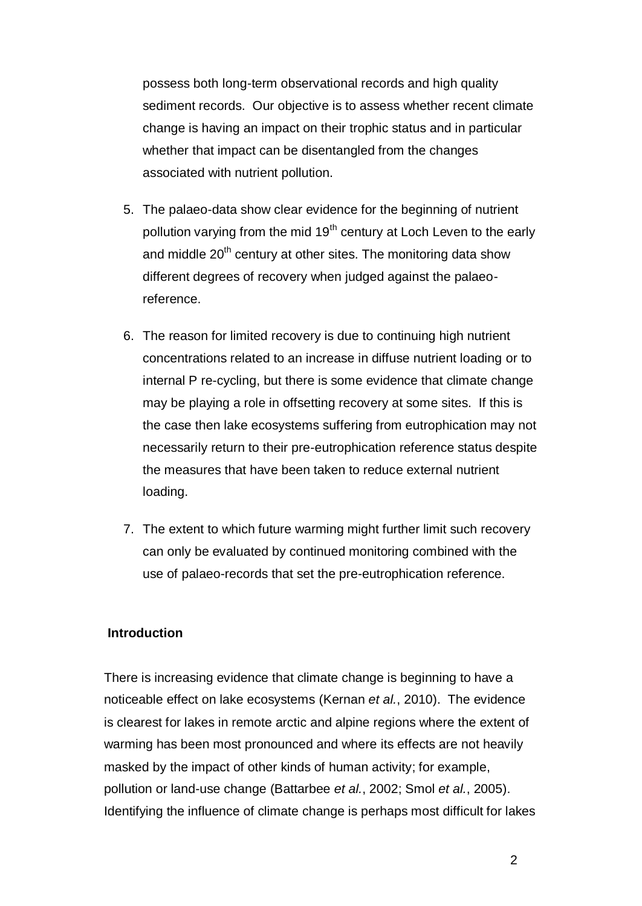possess both long-term observational records and high quality sediment records. Our objective is to assess whether recent climate change is having an impact on their trophic status and in particular whether that impact can be disentangled from the changes associated with nutrient pollution.

- 5. The palaeo-data show clear evidence for the beginning of nutrient pollution varying from the mid 19<sup>th</sup> century at Loch Leven to the early and middle  $20<sup>th</sup>$  century at other sites. The monitoring data show different degrees of recovery when judged against the palaeoreference.
- 6. The reason for limited recovery is due to continuing high nutrient concentrations related to an increase in diffuse nutrient loading or to internal P re-cycling, but there is some evidence that climate change may be playing a role in offsetting recovery at some sites. If this is the case then lake ecosystems suffering from eutrophication may not necessarily return to their pre-eutrophication reference status despite the measures that have been taken to reduce external nutrient loading.
- 7. The extent to which future warming might further limit such recovery can only be evaluated by continued monitoring combined with the use of palaeo-records that set the pre-eutrophication reference.

#### **Introduction**

There is increasing evidence that climate change is beginning to have a noticeable effect on lake ecosystems [\(Kernan](#page-30-0) *et al.*, 2010). The evidence is clearest for lakes in remote arctic and alpine regions where the extent of warming has been most pronounced and where its effects are not heavily masked by the impact of other kinds of human activity; for example, pollution or land-use change [\(Battarbee](#page-27-0) *et al.*, 2002; Smol *et al.*[, 2005\)](#page-32-0). Identifying the influence of climate change is perhaps most difficult for lakes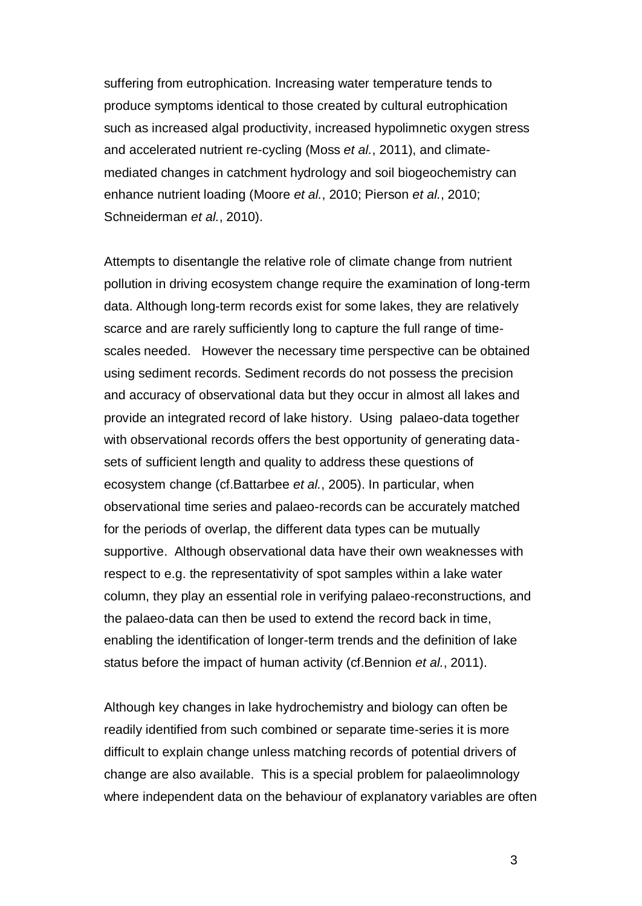suffering from eutrophication. Increasing water temperature tends to produce symptoms identical to those created by cultural eutrophication such as increased algal productivity, increased hypolimnetic oxygen stress and accelerated nutrient re-cycling (Moss *et al.*[, 2011\)](#page-31-0), and climatemediated changes in catchment hydrology and soil biogeochemistry can enhance nutrient loading [\(Moore](#page-31-1) *et al.*, 2010; [Pierson](#page-31-2) *et al.*, 2010; [Schneiderman](#page-31-3) *et al.*, 2010).

Attempts to disentangle the relative role of climate change from nutrient pollution in driving ecosystem change require the examination of long-term data. Although long-term records exist for some lakes, they are relatively scarce and are rarely sufficiently long to capture the full range of timescales needed. However the necessary time perspective can be obtained using sediment records. Sediment records do not possess the precision and accuracy of observational data but they occur in almost all lakes and provide an integrated record of lake history. Using palaeo-data together with observational records offers the best opportunity of generating datasets of sufficient length and quality to address these questions of ecosystem change (cf[.Battarbee](#page-27-1) *et al.*, 2005). In particular, when observational time series and palaeo-records can be accurately matched for the periods of overlap, the different data types can be mutually supportive. Although observational data have their own weaknesses with respect to e.g. the representativity of spot samples within a lake water column, they play an essential role in verifying palaeo-reconstructions, and the palaeo-data can then be used to extend the record back in time, enabling the identification of longer-term trends and the definition of lake status before the impact of human activity [\(cf.Bennion](#page-27-2) *et al.*, 2011).

Although key changes in lake hydrochemistry and biology can often be readily identified from such combined or separate time-series it is more difficult to explain change unless matching records of potential drivers of change are also available. This is a special problem for palaeolimnology where independent data on the behaviour of explanatory variables are often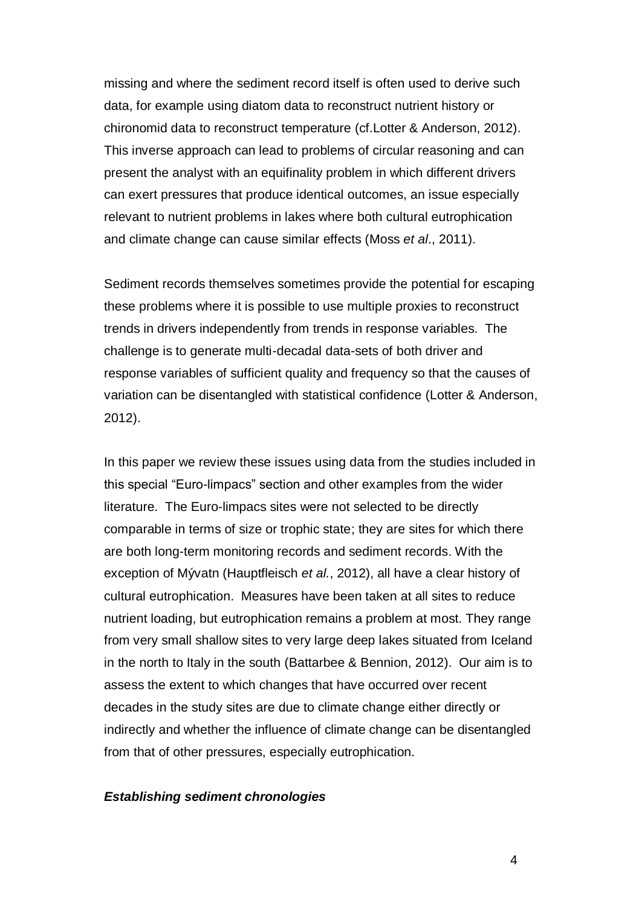missing and where the sediment record itself is often used to derive such data, for example using diatom data to reconstruct nutrient history or chironomid data to reconstruct temperature (cf[.Lotter & Anderson, 2012\)](#page-30-1). This inverse approach can lead to problems of circular reasoning and can present the analyst with an equifinality problem in which different drivers can exert pressures that produce identical outcomes, an issue especially relevant to nutrient problems in lakes where both cultural eutrophication and climate change can cause similar effects (Moss *et al*[., 2011\)](#page-31-0).

Sediment records themselves sometimes provide the potential for escaping these problems where it is possible to use multiple proxies to reconstruct trends in drivers independently from trends in response variables. The challenge is to generate multi-decadal data-sets of both driver and response variables of sufficient quality and frequency so that the causes of variation can be disentangled with statistical confidence (Lotter & Anderson, 2012).

In this paper we review these issues using data from the studies included in this special "Euro-limpacs" section and other examples from the wider literature. The Euro-limpacs sites were not selected to be directly comparable in terms of size or trophic state; they are sites for which there are both long-term monitoring records and sediment records. With the exception of Mývatn [\(Hauptfleisch](#page-30-2) *et al.*, 2012), all have a clear history of cultural eutrophication. Measures have been taken at all sites to reduce nutrient loading, but eutrophication remains a problem at most. They range from very small shallow sites to very large deep lakes situated from Iceland in the north to Italy in the south [\(Battarbee & Bennion, 2012\)](#page-27-3). Our aim is to assess the extent to which changes that have occurred over recent decades in the study sites are due to climate change either directly or indirectly and whether the influence of climate change can be disentangled from that of other pressures, especially eutrophication.

#### *Establishing sediment chronologies*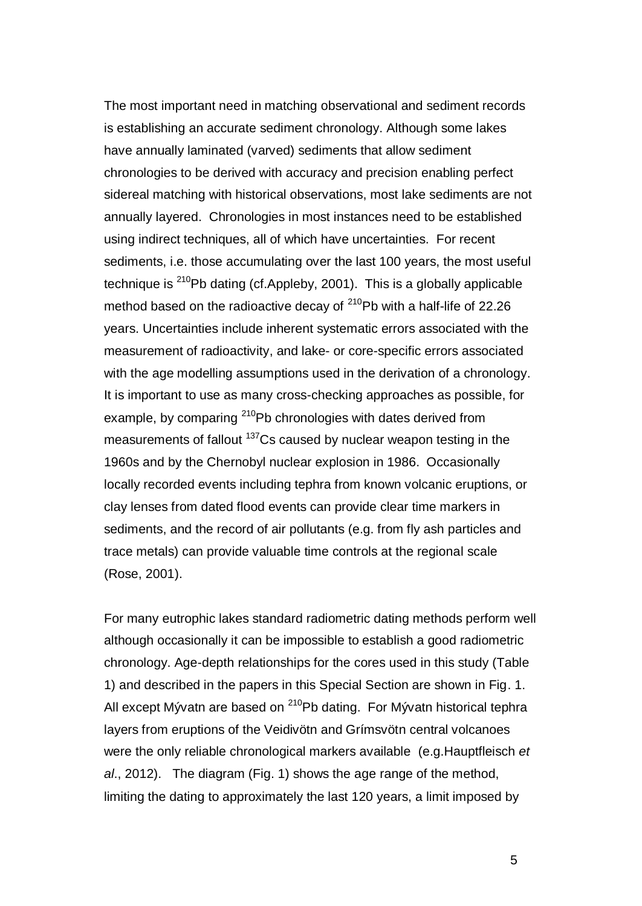The most important need in matching observational and sediment records is establishing an accurate sediment chronology. Although some lakes have annually laminated (varved) sediments that allow sediment chronologies to be derived with accuracy and precision enabling perfect sidereal matching with historical observations, most lake sediments are not annually layered. Chronologies in most instances need to be established using indirect techniques, all of which have uncertainties. For recent sediments, i.e. those accumulating over the last 100 years, the most useful technique is  $^{210}$ Pb dating (cf[.Appleby, 2001\)](#page-27-4). This is a globally applicable method based on the radioactive decay of  $^{210}$ Pb with a half-life of 22.26 years. Uncertainties include inherent systematic errors associated with the measurement of radioactivity, and lake- or core-specific errors associated with the age modelling assumptions used in the derivation of a chronology. It is important to use as many cross-checking approaches as possible, for example, by comparing <sup>210</sup>Pb chronologies with dates derived from measurements of fallout <sup>137</sup>Cs caused by nuclear weapon testing in the 1960s and by the Chernobyl nuclear explosion in 1986. Occasionally locally recorded events including tephra from known volcanic eruptions, or clay lenses from dated flood events can provide clear time markers in sediments, and the record of air pollutants (e.g. from fly ash particles and trace metals) can provide valuable time controls at the regional scale [\(Rose, 2001\)](#page-31-4).

For many eutrophic lakes standard radiometric dating methods perform well although occasionally it can be impossible to establish a good radiometric chronology. Age-depth relationships for the cores used in this study (Table 1) and described in the papers in this Special Section are shown in Fig. 1. All except Mývatn are based on  $^{210}Pb$  dating. For Mývatn historical tephra layers from eruptions of the Veidivötn and Grímsvötn central volcanoes were the only reliable chronological markers available (e.g[.Hauptfleisch](#page-30-2) *et al*[., 2012\)](#page-30-2). The diagram (Fig. 1) shows the age range of the method, limiting the dating to approximately the last 120 years, a limit imposed by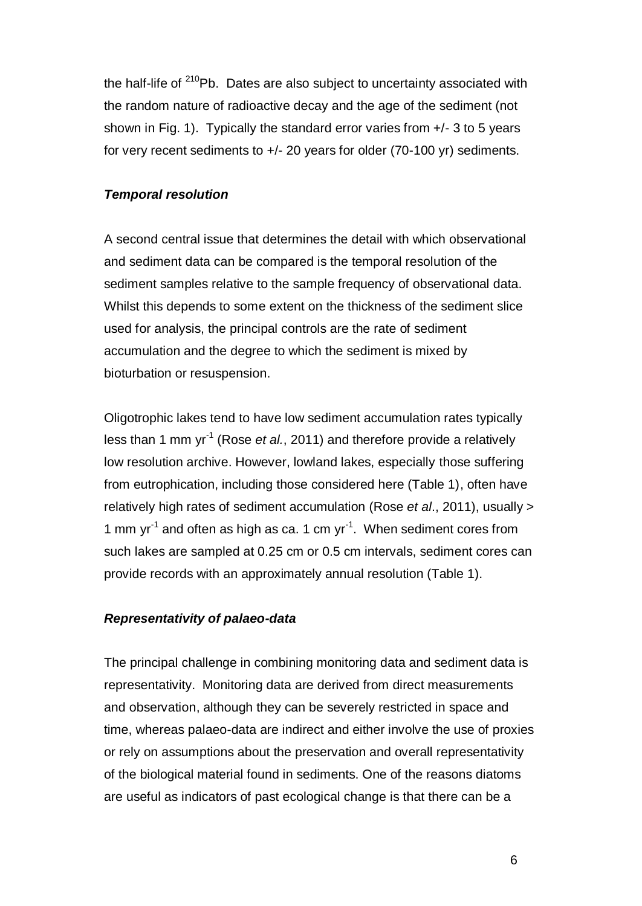the half-life of  $210$ Pb. Dates are also subject to uncertainty associated with the random nature of radioactive decay and the age of the sediment (not shown in Fig. 1). Typically the standard error varies from +/- 3 to 5 years for very recent sediments to +/- 20 years for older (70-100 yr) sediments.

### *Temporal resolution*

A second central issue that determines the detail with which observational and sediment data can be compared is the temporal resolution of the sediment samples relative to the sample frequency of observational data. Whilst this depends to some extent on the thickness of the sediment slice used for analysis, the principal controls are the rate of sediment accumulation and the degree to which the sediment is mixed by bioturbation or resuspension.

Oligotrophic lakes tend to have low sediment accumulation rates typically less than 1 mm yr<sup>-1</sup> (Rose *et al.*[, 2011\)](#page-31-5) and therefore provide a relatively low resolution archive. However, lowland lakes, especially those suffering from eutrophication, including those considered here (Table 1), often have relatively high rates of sediment accumulation (Rose *et al*[., 2011\)](#page-31-5), usually > 1 mm  $yr^{-1}$  and often as high as ca. 1 cm  $yr^{-1}$ . When sediment cores from such lakes are sampled at 0.25 cm or 0.5 cm intervals, sediment cores can provide records with an approximately annual resolution (Table 1).

## *Representativity of palaeo-data*

The principal challenge in combining monitoring data and sediment data is representativity. Monitoring data are derived from direct measurements and observation, although they can be severely restricted in space and time, whereas palaeo-data are indirect and either involve the use of proxies or rely on assumptions about the preservation and overall representativity of the biological material found in sediments. One of the reasons diatoms are useful as indicators of past ecological change is that there can be a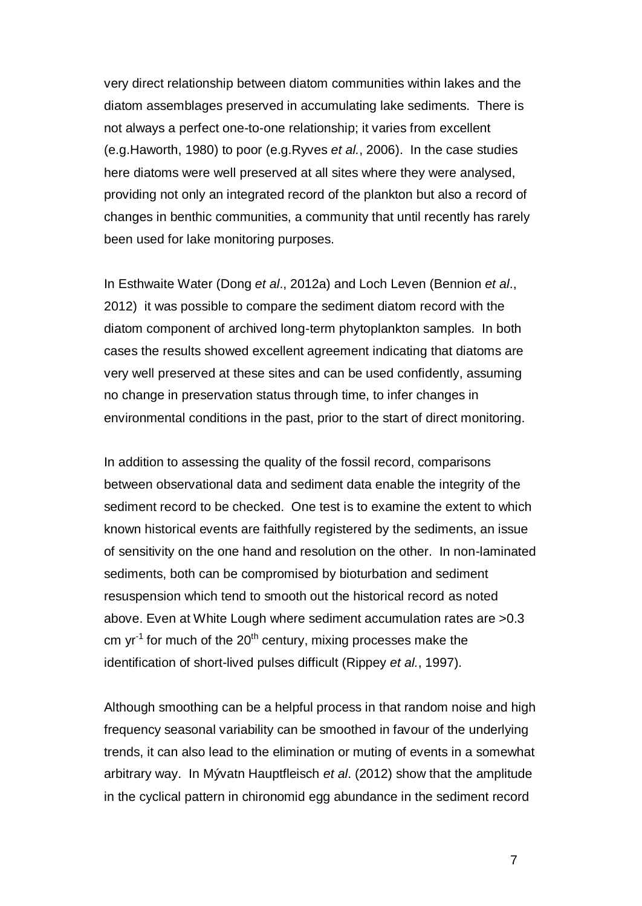very direct relationship between diatom communities within lakes and the diatom assemblages preserved in accumulating lake sediments. There is not always a perfect one-to-one relationship; it varies from excellent (e.g[.Haworth, 1980\)](#page-30-3) to poor (e.g[.Ryves](#page-31-6) *et al.*, 2006). In the case studies here diatoms were well preserved at all sites where they were analysed, providing not only an integrated record of the plankton but also a record of changes in benthic communities, a community that until recently has rarely been used for lake monitoring purposes.

In Esthwaite Water (Dong *et al*[., 2012a\)](#page-29-0) and Loch Leven [\(Bennion](#page-28-0) *et al*., [2012\)](#page-28-0) it was possible to compare the sediment diatom record with the diatom component of archived long-term phytoplankton samples. In both cases the results showed excellent agreement indicating that diatoms are very well preserved at these sites and can be used confidently, assuming no change in preservation status through time, to infer changes in environmental conditions in the past, prior to the start of direct monitoring.

In addition to assessing the quality of the fossil record, comparisons between observational data and sediment data enable the integrity of the sediment record to be checked. One test is to examine the extent to which known historical events are faithfully registered by the sediments, an issue of sensitivity on the one hand and resolution on the other. In non-laminated sediments, both can be compromised by bioturbation and sediment resuspension which tend to smooth out the historical record as noted above. Even at White Lough where sediment accumulation rates are >0.3 cm yr<sup>-1</sup> for much of the 20<sup>th</sup> century, mixing processes make the identification of short-lived pulses difficult [\(Rippey](#page-31-7) *et al.*, 1997).

Although smoothing can be a helpful process in that random noise and high frequency seasonal variability can be smoothed in favour of the underlying trends, it can also lead to the elimination or muting of events in a somewhat arbitrary way. In Mývatn Hauptfleisch *et al*. [\(2012\)](#page-30-2) show that the amplitude in the cyclical pattern in chironomid egg abundance in the sediment record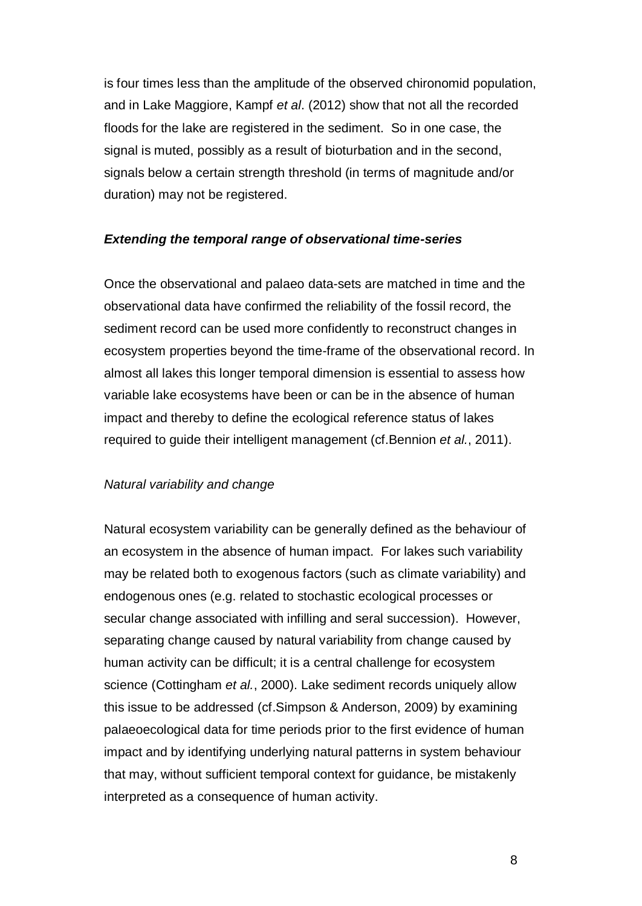is four times less than the amplitude of the observed chironomid population, and in Lake Maggiore, Kampf *et al*. [\(2012\)](#page-30-4) show that not all the recorded floods for the lake are registered in the sediment. So in one case, the signal is muted, possibly as a result of bioturbation and in the second, signals below a certain strength threshold (in terms of magnitude and/or duration) may not be registered.

#### *Extending the temporal range of observational time-series*

Once the observational and palaeo data-sets are matched in time and the observational data have confirmed the reliability of the fossil record, the sediment record can be used more confidently to reconstruct changes in ecosystem properties beyond the time-frame of the observational record. In almost all lakes this longer temporal dimension is essential to assess how variable lake ecosystems have been or can be in the absence of human impact and thereby to define the ecological reference status of lakes required to guide their intelligent management [\(cf.Bennion](#page-27-2) *et al.*, 2011).

#### *Natural variability and change*

Natural ecosystem variability can be generally defined as the behaviour of an ecosystem in the absence of human impact. For lakes such variability may be related both to exogenous factors (such as climate variability) and endogenous ones (e.g. related to stochastic ecological processes or secular change associated with infilling and seral succession). However, separating change caused by natural variability from change caused by human activity can be difficult; it is a central challenge for ecosystem science [\(Cottingham](#page-28-1) *et al.*, 2000). Lake sediment records uniquely allow this issue to be addressed [\(cf.Simpson & Anderson, 2009\)](#page-31-8) by examining palaeoecological data for time periods prior to the first evidence of human impact and by identifying underlying natural patterns in system behaviour that may, without sufficient temporal context for guidance, be mistakenly interpreted as a consequence of human activity.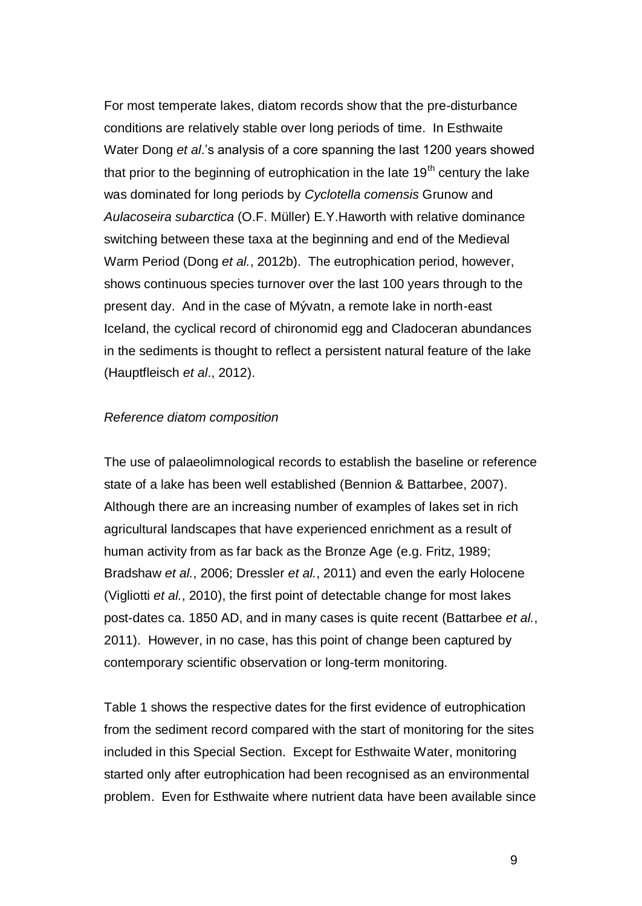For most temperate lakes, diatom records show that the pre-disturbance conditions are relatively stable over long periods of time. In Esthwaite Water Dong *et al*.'s analysis of a core spanning the last 1200 years showed that prior to the beginning of eutrophication in the late  $19<sup>th</sup>$  century the lake was dominated for long periods by *Cyclotella comensis* Grunow and *Aulacoseira subarctica* (O.F. Müller) E.Y.Haworth with relative dominance switching between these taxa at the beginning and end of the Medieval Warm Period (Dong *et al.*[, 2012b\)](#page-29-1). The eutrophication period, however, shows continuous species turnover over the last 100 years through to the present day. And in the case of Mývatn, a remote lake in north-east Iceland, the cyclical record of chironomid egg and Cladoceran abundances in the sediments is thought to reflect a persistent natural feature of the lake [\(Hauptfleisch](#page-30-2) *et al*., 2012).

#### *Reference diatom composition*

The use of palaeolimnological records to establish the baseline or reference state of a lake has been well established [\(Bennion & Battarbee, 2007\)](#page-27-5). Although there are an increasing number of examples of lakes set in rich agricultural landscapes that have experienced enrichment as a result of human activity from as far back as the Bronze Age (e.g. Fritz, 1989; [Bradshaw](#page-28-2) *et al.*, 2006; [Dressler](#page-29-2) *et al.*, 2011) and even the early Holocene [\(Vigliotti](#page-32-1) *et al.*, 2010), the first point of detectable change for most lakes post-dates ca. 1850 AD, and in many cases is quite recent [\(Battarbee](#page-27-6) *et al.*, [2011\)](#page-27-6). However, in no case, has this point of change been captured by contemporary scientific observation or long-term monitoring.

Table 1 shows the respective dates for the first evidence of eutrophication from the sediment record compared with the start of monitoring for the sites included in this Special Section. Except for Esthwaite Water, monitoring started only after eutrophication had been recognised as an environmental problem. Even for Esthwaite where nutrient data have been available since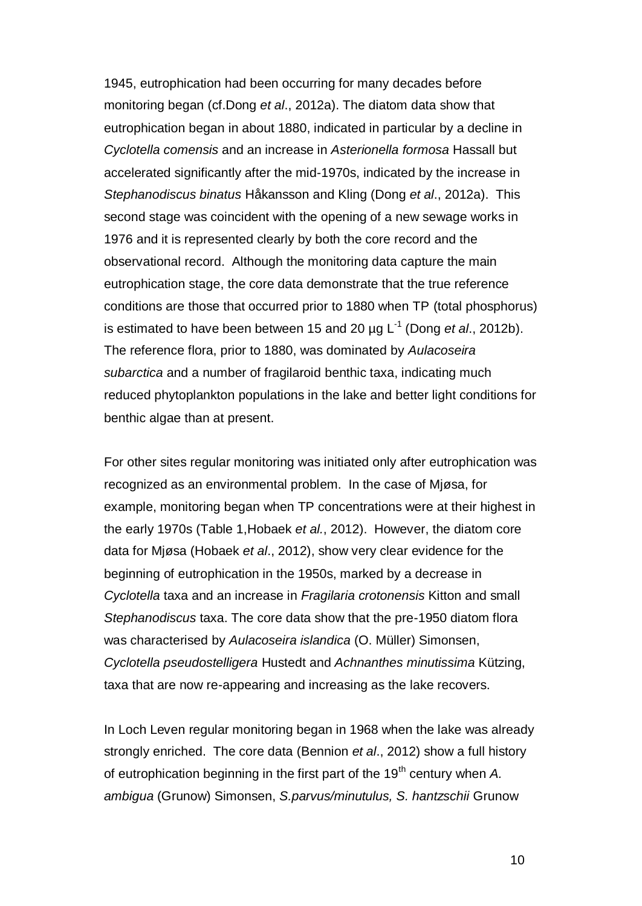1945, eutrophication had been occurring for many decades before monitoring began [\(cf.Dong](#page-29-0) *et al*., 2012a). The diatom data show that eutrophication began in about 1880, indicated in particular by a decline in *Cyclotella comensis* and an increase in *Asterionella formosa* Hassall but accelerated significantly after the mid-1970s, indicated by the increase in *Stephanodiscus binatus* Håkansson and Kling (Dong *et al*[., 2012a\)](#page-29-0). This second stage was coincident with the opening of a new sewage works in 1976 and it is represented clearly by both the core record and the observational record. Although the monitoring data capture the main eutrophication stage, the core data demonstrate that the true reference conditions are those that occurred prior to 1880 when TP (total phosphorus) is estimated to have been between 15 and 20 µg L -1 (Dong *et al*[., 2012b\)](#page-29-1). The reference flora, prior to 1880, was dominated by *Aulacoseira subarctica* and a number of fragilaroid benthic taxa, indicating much reduced phytoplankton populations in the lake and better light conditions for benthic algae than at present.

For other sites regular monitoring was initiated only after eutrophication was recognized as an environmental problem. In the case of Mjøsa, for example, monitoring began when TP concentrations were at their highest in the early 1970s (Table 1[,Hobaek](#page-30-5) *et al.*, 2012). However, the diatom core data for Mjøsa [\(Hobaek](#page-30-5) *et al*., 2012), show very clear evidence for the beginning of eutrophication in the 1950s, marked by a decrease in *Cyclotella* taxa and an increase in *Fragilaria crotonensis* Kitton and small *Stephanodiscus* taxa. The core data show that the pre-1950 diatom flora was characterised by *Aulacoseira islandica* (O. Müller) Simonsen, *Cyclotella pseudostelligera* Hustedt and *Achnanthes minutissima* Kützing, taxa that are now re-appearing and increasing as the lake recovers.

In Loch Leven regular monitoring began in 1968 when the lake was already strongly enriched. The core data [\(Bennion](#page-28-0) *et al*., 2012) show a full history of eutrophication beginning in the first part of the 19<sup>th</sup> century when A. *ambigua* (Grunow) Simonsen, *S.parvus/minutulus, S. hantzschii* Grunow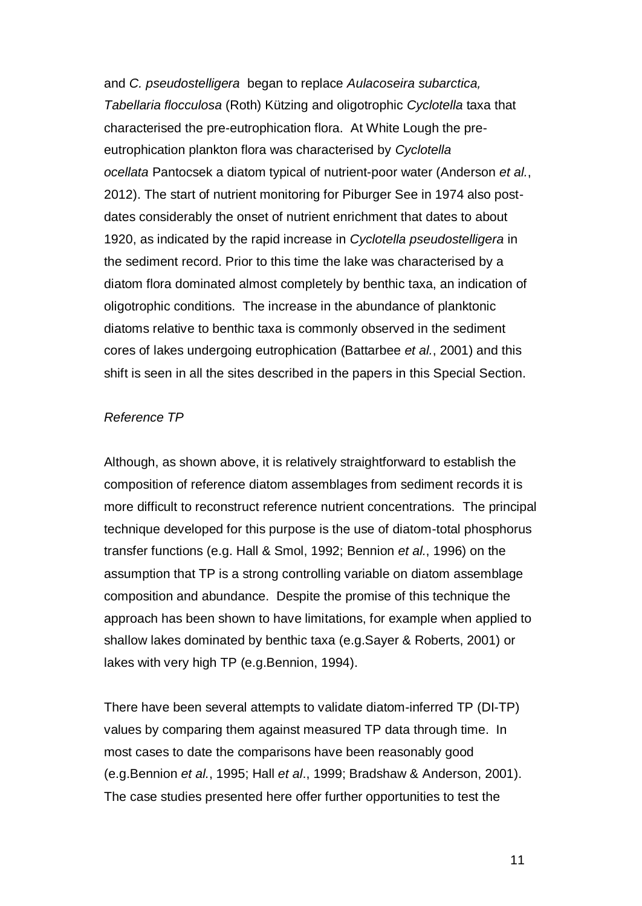and *C. pseudostelligera* began to replace *Aulacoseira subarctica, Tabellaria flocculosa* (Roth) Kützing and oligotrophic *Cyclotella* taxa that characterised the pre-eutrophication flora. At White Lough the preeutrophication plankton flora was characterised by *Cyclotella ocellata* Pantocsek a diatom typical of nutrient-poor water [\(Anderson](#page-27-7) *et al.*, [2012\)](#page-27-7). The start of nutrient monitoring for Piburger See in 1974 also postdates considerably the onset of nutrient enrichment that dates to about 1920, as indicated by the rapid increase in *Cyclotella pseudostelligera* in the sediment record. Prior to this time the lake was characterised by a diatom flora dominated almost completely by benthic taxa, an indication of oligotrophic conditions. The increase in the abundance of planktonic diatoms relative to benthic taxa is commonly observed in the sediment cores of lakes undergoing eutrophication [\(Battarbee](#page-27-8) *et al.*, 2001) and this shift is seen in all the sites described in the papers in this Special Section.

#### *Reference TP*

Although, as shown above, it is relatively straightforward to establish the composition of reference diatom assemblages from sediment records it is more difficult to reconstruct reference nutrient concentrations. The principal technique developed for this purpose is the use of diatom-total phosphorus transfer functions (e.g. Hall & Smol, 1992; [Bennion](#page-28-3) *et al.*, 1996) on the assumption that TP is a strong controlling variable on diatom assemblage composition and abundance. Despite the promise of this technique the approach has been shown to have limitations, for example when applied to shallow lakes dominated by benthic taxa (e.g[.Sayer & Roberts, 2001\)](#page-31-9) or lakes with very high TP (e.g[.Bennion, 1994\)](#page-27-9).

There have been several attempts to validate diatom-inferred TP (DI-TP) values by comparing them against measured TP data through time. In most cases to date the comparisons have been reasonably good (e.g[.Bennion](#page-28-4) *et al.*, 1995; Hall *et al*., 1999; [Bradshaw & Anderson, 2001\)](#page-28-5). The case studies presented here offer further opportunities to test the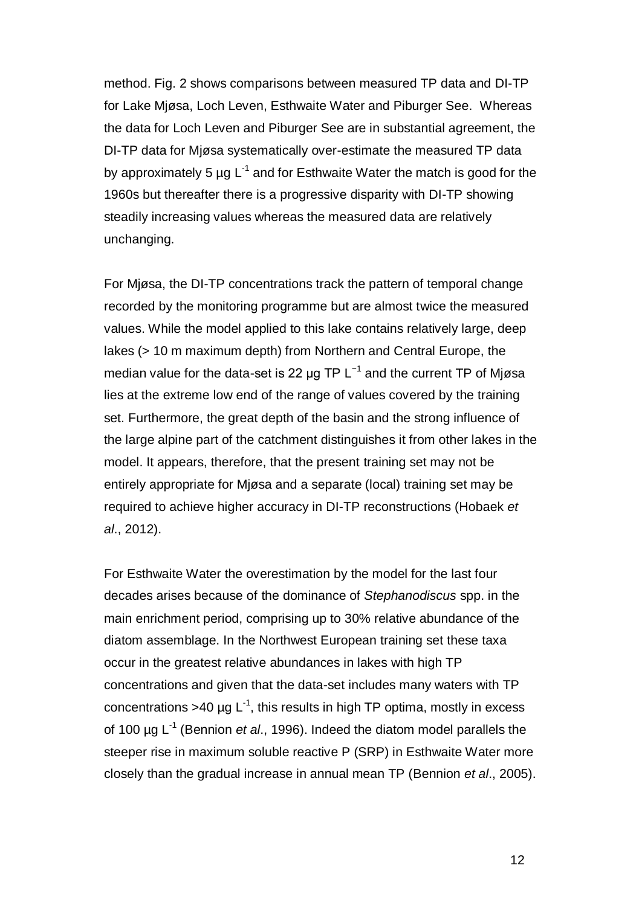method. Fig. 2 shows comparisons between measured TP data and DI-TP for Lake Mjøsa, Loch Leven, Esthwaite Water and Piburger See. Whereas the data for Loch Leven and Piburger See are in substantial agreement, the DI-TP data for Mjøsa systematically over-estimate the measured TP data by approximately 5  $\mu$ g L<sup>-1</sup> and for Esthwaite Water the match is good for the 1960s but thereafter there is a progressive disparity with DI-TP showing steadily increasing values whereas the measured data are relatively unchanging.

For Mjøsa, the DI-TP concentrations track the pattern of temporal change recorded by the monitoring programme but are almost twice the measured values. While the model applied to this lake contains relatively large, deep lakes (> 10 m maximum depth) from Northern and Central Europe, the median value for the data-set is 22  $\mu$ g TP L<sup>-1</sup> and the current TP of Mjøsa lies at the extreme low end of the range of values covered by the training set. Furthermore, the great depth of the basin and the strong influence of the large alpine part of the catchment distinguishes it from other lakes in the model. It appears, therefore, that the present training set may not be entirely appropriate for Mjøsa and a separate (local) training set may be required to achieve higher accuracy in DI-TP reconstructions [\(Hobaek](#page-30-5) *et al*[., 2012\)](#page-30-5).

For Esthwaite Water the overestimation by the model for the last four decades arises because of the dominance of *Stephanodiscus* spp. in the main enrichment period, comprising up to 30% relative abundance of the diatom assemblage. In the Northwest European training set these taxa occur in the greatest relative abundances in lakes with high TP concentrations and given that the data-set includes many waters with TP concentrations >40 µg  $L^{-1}$ , this results in high TP optima, mostly in excess of 100 µg L-1 (Bennion *et al*., 1996). Indeed the diatom model parallels the steeper rise in maximum soluble reactive P (SRP) in Esthwaite Water more closely than the gradual increase in annual mean TP (Bennion *et al*., 2005).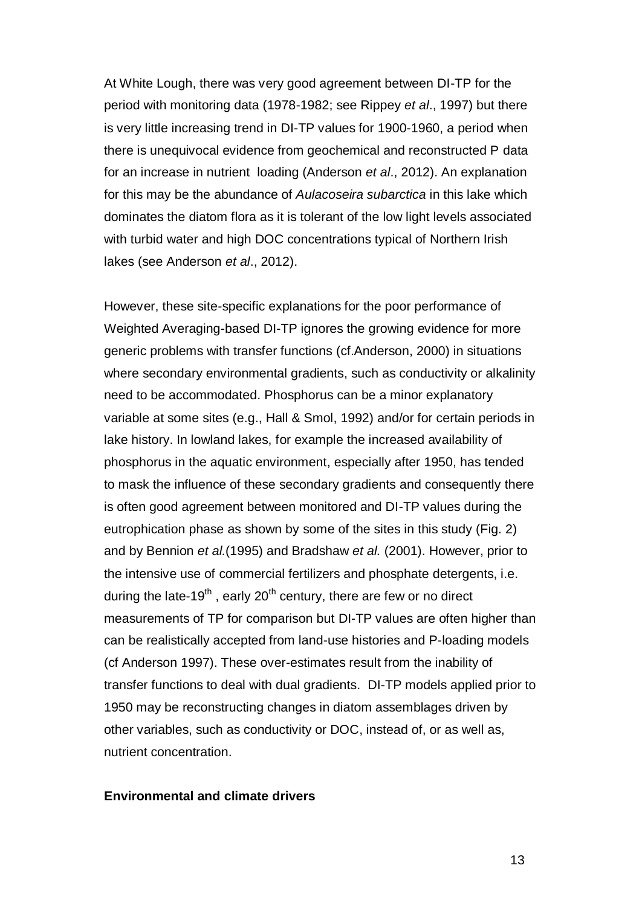At White Lough, there was very good agreement between DI-TP for the period with monitoring data (1978-1982; see Rippey *et al*., 1997) but there is very little increasing trend in DI-TP values for 1900-1960, a period when there is unequivocal evidence from geochemical and reconstructed P data for an increase in nutrient loading (Anderson *et al*., 2012). An explanation for this may be the abundance of *Aulacoseira subarctica* in this lake which dominates the diatom flora as it is tolerant of the low light levels associated with turbid water and high DOC concentrations typical of Northern Irish lakes (see Anderson *et al*., 2012).

However, these site-specific explanations for the poor performance of Weighted Averaging-based DI-TP ignores the growing evidence for more generic problems with transfer functions [\(cf.Anderson, 2000\)](#page-27-10) in situations where secondary environmental gradients, such as conductivity or alkalinity need to be accommodated. Phosphorus can be a minor explanatory variable at some sites (e.g., Hall & Smol, 1992) and/or for certain periods in lake history. In lowland lakes, for example the increased availability of phosphorus in the aquatic environment, especially after 1950, has tended to mask the influence of these secondary gradients and consequently there is often good agreement between monitored and DI-TP values during the eutrophication phase as shown by some of the sites in this study (Fig. 2) and by Bennion *et al.*(1995) and Bradshaw *et al.* (2001). However, prior to the intensive use of commercial fertilizers and phosphate detergents, i.e. during the late-19<sup>th</sup>, early 20<sup>th</sup> century, there are few or no direct measurements of TP for comparison but DI-TP values are often higher than can be realistically accepted from land-use histories and P-loading models (cf Anderson 1997). These over-estimates result from the inability of transfer functions to deal with dual gradients. DI-TP models applied prior to 1950 may be reconstructing changes in diatom assemblages driven by other variables, such as conductivity or DOC, instead of, or as well as, nutrient concentration.

#### **Environmental and climate drivers**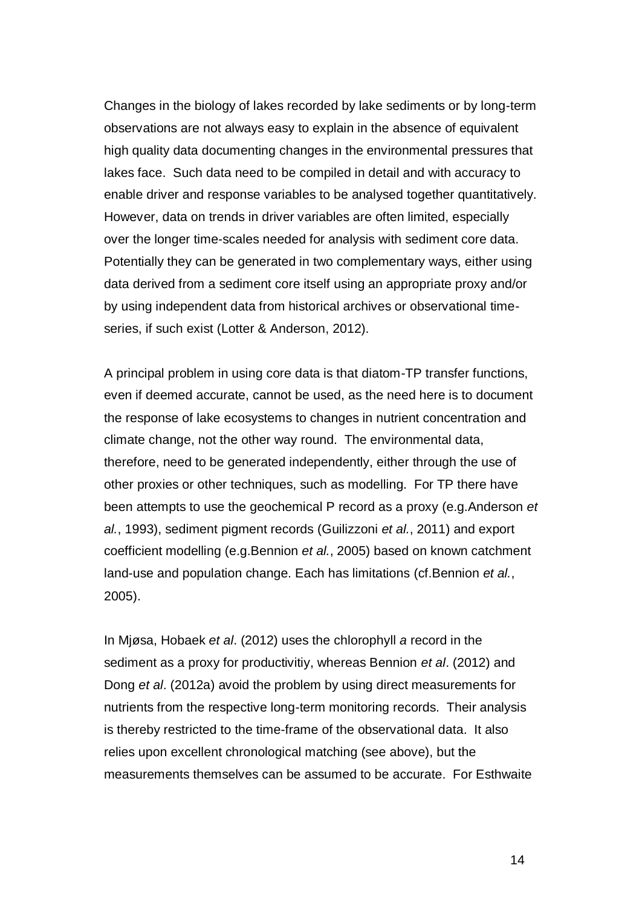Changes in the biology of lakes recorded by lake sediments or by long-term observations are not always easy to explain in the absence of equivalent high quality data documenting changes in the environmental pressures that lakes face. Such data need to be compiled in detail and with accuracy to enable driver and response variables to be analysed together quantitatively. However, data on trends in driver variables are often limited, especially over the longer time-scales needed for analysis with sediment core data. Potentially they can be generated in two complementary ways, either using data derived from a sediment core itself using an appropriate proxy and/or by using independent data from historical archives or observational timeseries, if such exist (Lotter & Anderson, 2012).

A principal problem in using core data is that diatom-TP transfer functions, even if deemed accurate, cannot be used, as the need here is to document the response of lake ecosystems to changes in nutrient concentration and climate change, not the other way round. The environmental data, therefore, need to be generated independently, either through the use of other proxies or other techniques, such as modelling. For TP there have been attempts to use the geochemical P record as a proxy (e.g[.Anderson](#page-27-11) *et al.*[, 1993\)](#page-27-11), sediment pigment records [\(Guilizzoni](#page-29-3) *et al.*, 2011) and export coefficient modelling (e.g[.Bennion](#page-28-6) *et al.*, 2005) based on known catchment land-use and population change. Each has limitations (cf[.Bennion](#page-28-6) *et al.*, [2005\)](#page-28-6).

In Mjøsa, Hobaek *et al*. [\(2012\)](#page-30-5) uses the chlorophyll *a* record in the sediment as a proxy for productivitiy, whereas Bennion *et al*. [\(2012\)](#page-28-0) and Dong *et al*. [\(2012a\)](#page-29-0) avoid the problem by using direct measurements for nutrients from the respective long-term monitoring records. Their analysis is thereby restricted to the time-frame of the observational data. It also relies upon excellent chronological matching (see above), but the measurements themselves can be assumed to be accurate. For Esthwaite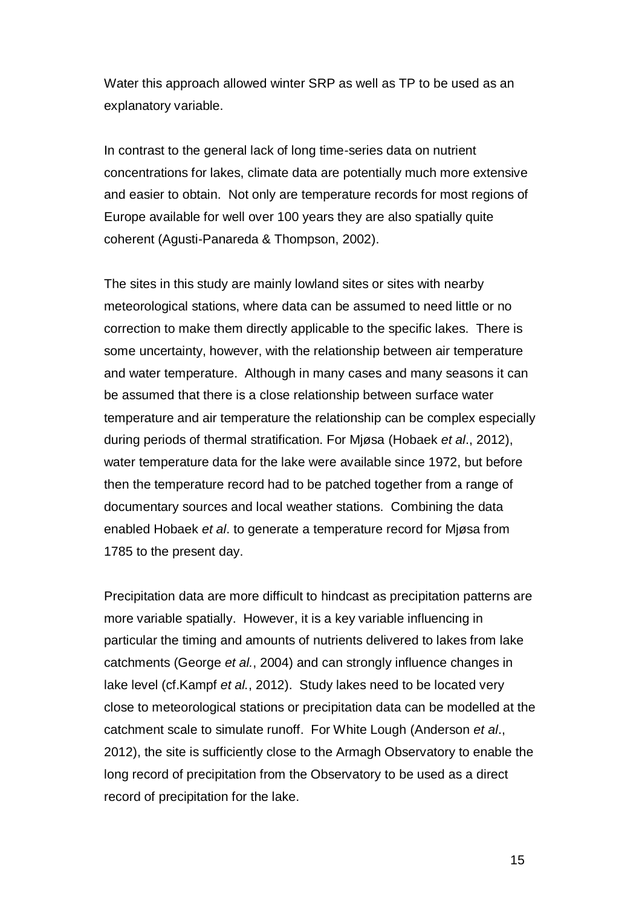Water this approach allowed winter SRP as well as TP to be used as an explanatory variable.

In contrast to the general lack of long time-series data on nutrient concentrations for lakes, climate data are potentially much more extensive and easier to obtain. Not only are temperature records for most regions of Europe available for well over 100 years they are also spatially quite coherent [\(Agusti-Panareda & Thompson, 2002\)](#page-26-0).

The sites in this study are mainly lowland sites or sites with nearby meteorological stations, where data can be assumed to need little or no correction to make them directly applicable to the specific lakes. There is some uncertainty, however, with the relationship between air temperature and water temperature. Although in many cases and many seasons it can be assumed that there is a close relationship between surface water temperature and air temperature the relationship can be complex especially during periods of thermal stratification. For Mjøsa [\(Hobaek](#page-30-5) *et al*., 2012), water temperature data for the lake were available since 1972, but before then the temperature record had to be patched together from a range of documentary sources and local weather stations. Combining the data enabled Hobaek *et al*. to generate a temperature record for Mjøsa from 1785 to the present day.

Precipitation data are more difficult to hindcast as precipitation patterns are more variable spatially. However, it is a key variable influencing in particular the timing and amounts of nutrients delivered to lakes from lake catchments [\(George](#page-29-4) *et al.*, 2004) and can strongly influence changes in lake level (cf[.Kampf](#page-30-4) *et al.*, 2012). Study lakes need to be located very close to meteorological stations or precipitation data can be modelled at the catchment scale to simulate runoff. For White Lough [\(Anderson](#page-27-7) *et al*., [2012\)](#page-27-7), the site is sufficiently close to the Armagh Observatory to enable the long record of precipitation from the Observatory to be used as a direct record of precipitation for the lake.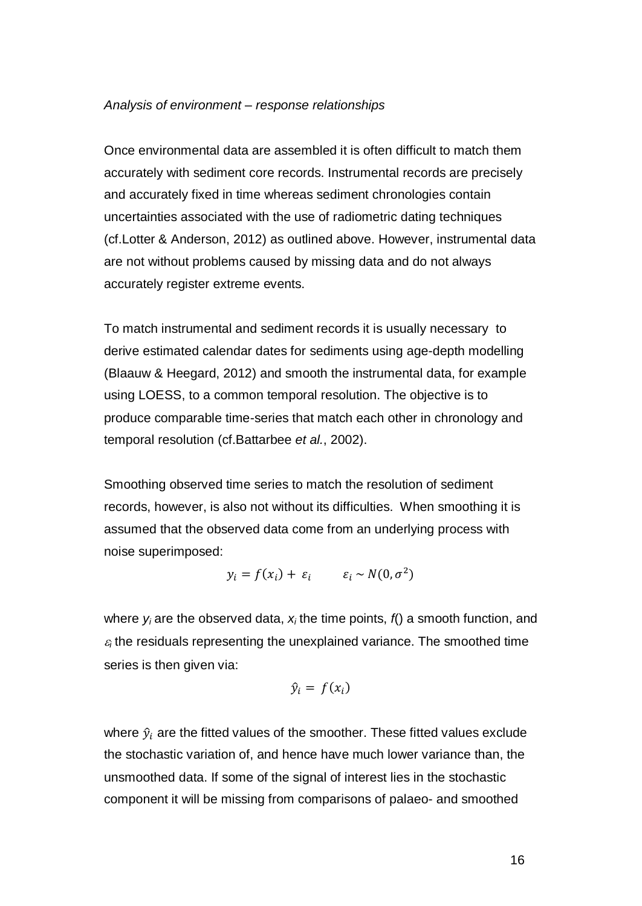#### *Analysis of environment – response relationships*

Once environmental data are assembled it is often difficult to match them accurately with sediment core records. Instrumental records are precisely and accurately fixed in time whereas sediment chronologies contain uncertainties associated with the use of radiometric dating techniques (cf[.Lotter & Anderson, 2012\)](#page-30-1) as outlined above. However, instrumental data are not without problems caused by missing data and do not always accurately register extreme events.

To match instrumental and sediment records it is usually necessary to derive estimated calendar dates for sediments using age-depth modelling [\(Blaauw & Heegard, 2012\)](#page-28-7) and smooth the instrumental data, for example using LOESS, to a common temporal resolution. The objective is to produce comparable time-series that match each other in chronology and temporal resolution (cf[.Battarbee](#page-27-0) *et al.*, 2002).

Smoothing observed time series to match the resolution of sediment records, however, is also not without its difficulties. When smoothing it is assumed that the observed data come from an underlying process with noise superimposed:

$$
y_i = f(x_i) + \varepsilon_i \qquad \varepsilon_i \sim N(0, \sigma^2)
$$

where *y<sup>i</sup>* are the observed data, *x<sup>i</sup>* the time points, *f*() a smooth function, and  $\varepsilon_i$  the residuals representing the unexplained variance. The smoothed time series is then given via:

$$
\hat{y}_i = f(x_i)
$$

where  $\hat{y}_i$  are the fitted values of the smoother. These fitted values exclude the stochastic variation of, and hence have much lower variance than, the unsmoothed data. If some of the signal of interest lies in the stochastic component it will be missing from comparisons of palaeo- and smoothed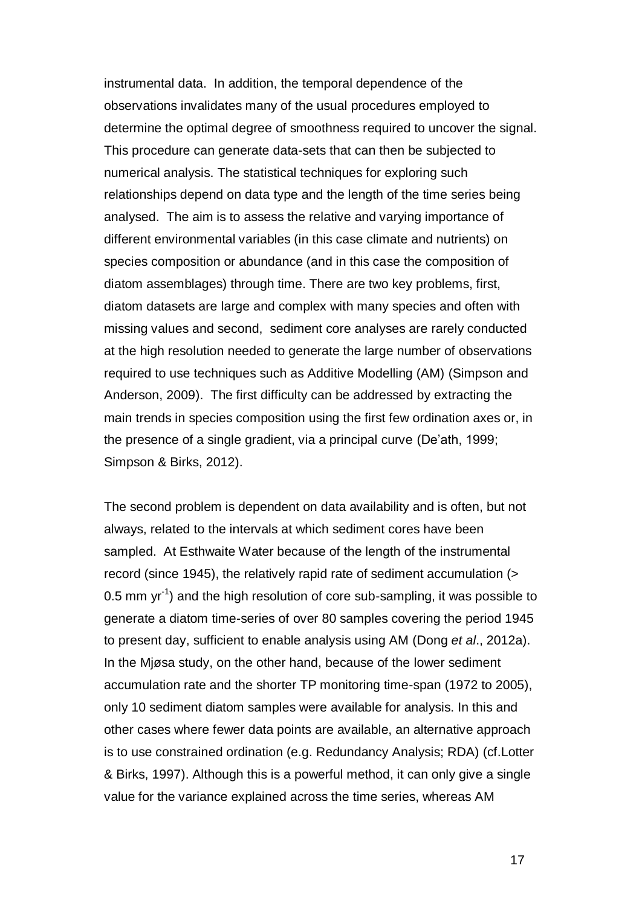instrumental data. In addition, the temporal dependence of the observations invalidates many of the usual procedures employed to determine the optimal degree of smoothness required to uncover the signal. This procedure can generate data-sets that can then be subjected to numerical analysis. The statistical techniques for exploring such relationships depend on data type and the length of the time series being analysed. The aim is to assess the relative and varying importance of different environmental variables (in this case climate and nutrients) on species composition or abundance (and in this case the composition of diatom assemblages) through time. There are two key problems, first, diatom datasets are large and complex with many species and often with missing values and second, sediment core analyses are rarely conducted at the high resolution needed to generate the large number of observations required to use techniques such as Additive Modelling (AM) [\(Simpson and](#page-31-8)  [Anderson, 2009\)](#page-31-8). The first difficulty can be addressed by extracting the main trends in species composition using the first few ordination axes or, in the presence of a single gradient, via a principal curve [\(De'ath, 1999;](#page-29-5) [Simpson & Birks, 2012\)](#page-31-10).

The second problem is dependent on data availability and is often, but not always, related to the intervals at which sediment cores have been sampled. At Esthwaite Water because of the length of the instrumental record (since 1945), the relatively rapid rate of sediment accumulation (> 0.5 mm  $yr^{-1}$ ) and the high resolution of core sub-sampling, it was possible to generate a diatom time-series of over 80 samples covering the period 1945 to present day, sufficient to enable analysis using AM (Dong *et al*[., 2012a\)](#page-29-0). In the Mjøsa study, on the other hand, because of the lower sediment accumulation rate and the shorter TP monitoring time-span (1972 to 2005), only 10 sediment diatom samples were available for analysis. In this and other cases where fewer data points are available, an alternative approach is to use constrained ordination (e.g. Redundancy Analysis; RDA) (cf[.Lotter](#page-30-6)  [& Birks, 1997\)](#page-30-6). Although this is a powerful method, it can only give a single value for the variance explained across the time series, whereas AM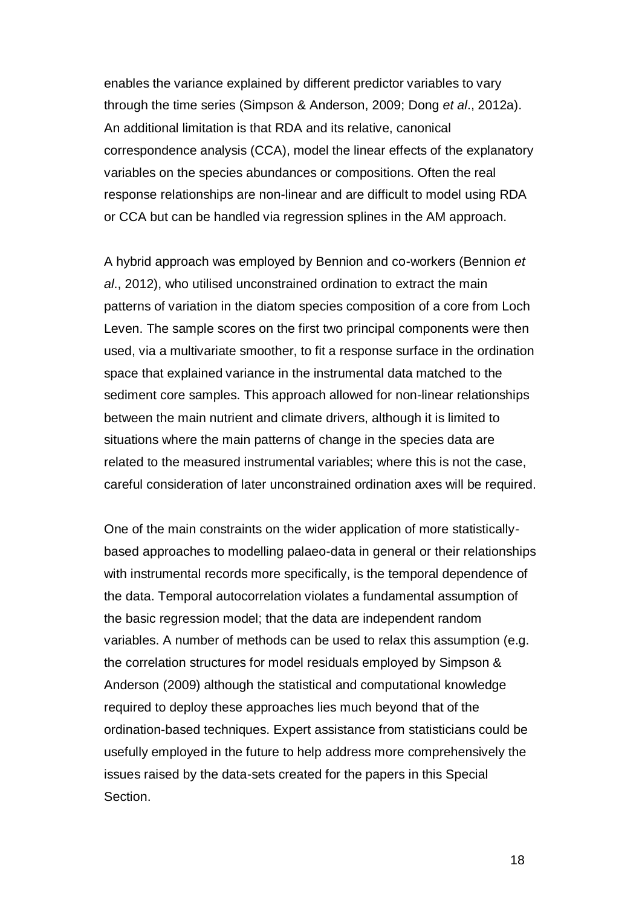enables the variance explained by different predictor variables to vary through the time series (Simpson & Anderson, 2009; Dong *et al*[., 2012a\)](#page-29-0). An additional limitation is that RDA and its relative, canonical correspondence analysis (CCA), model the linear effects of the explanatory variables on the species abundances or compositions. Often the real response relationships are non-linear and are difficult to model using RDA or CCA but can be handled via regression splines in the AM approach.

A hybrid approach was employed by Bennion and co-workers (Bennion *et al*., 2012), who utilised unconstrained ordination to extract the main patterns of variation in the diatom species composition of a core from Loch Leven. The sample scores on the first two principal components were then used, via a multivariate smoother, to fit a response surface in the ordination space that explained variance in the instrumental data matched to the sediment core samples. This approach allowed for non-linear relationships between the main nutrient and climate drivers, although it is limited to situations where the main patterns of change in the species data are related to the measured instrumental variables; where this is not the case, careful consideration of later unconstrained ordination axes will be required.

One of the main constraints on the wider application of more statisticallybased approaches to modelling palaeo-data in general or their relationships with instrumental records more specifically, is the temporal dependence of the data. Temporal autocorrelation violates a fundamental assumption of the basic regression model; that the data are independent random variables. A number of methods can be used to relax this assumption (e.g. the correlation structures for model residuals employed by Simpson & Anderson [\(2009\)](#page-31-8) although the statistical and computational knowledge required to deploy these approaches lies much beyond that of the ordination-based techniques. Expert assistance from statisticians could be usefully employed in the future to help address more comprehensively the issues raised by the data-sets created for the papers in this Special Section.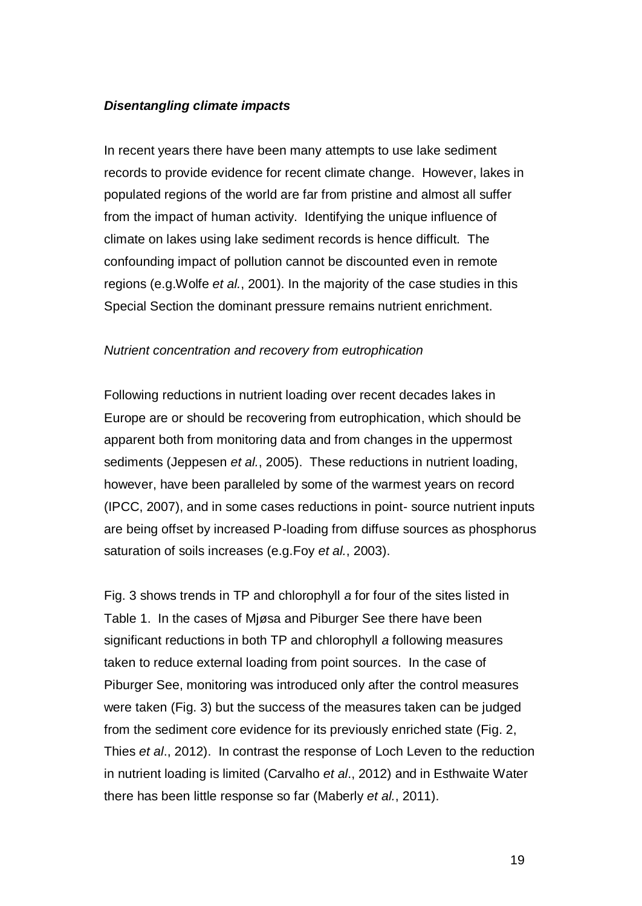### *Disentangling climate impacts*

In recent years there have been many attempts to use lake sediment records to provide evidence for recent climate change. However, lakes in populated regions of the world are far from pristine and almost all suffer from the impact of human activity. Identifying the unique influence of climate on lakes using lake sediment records is hence difficult. The confounding impact of pollution cannot be discounted even in remote regions (e.g.Wolfe *et al.*[, 2001\)](#page-32-2). In the majority of the case studies in this Special Section the dominant pressure remains nutrient enrichment.

#### *Nutrient concentration and recovery from eutrophication*

Following reductions in nutrient loading over recent decades lakes in Europe are or should be recovering from eutrophication, which should be apparent both from monitoring data and from changes in the uppermost sediments [\(Jeppesen](#page-30-7) *et al.*, 2005). These reductions in nutrient loading, however, have been paralleled by some of the warmest years on record [\(IPCC, 2007\)](#page-30-8), and in some cases reductions in point- source nutrient inputs are being offset by increased P-loading from diffuse sources as phosphorus saturation of soils increases (e.g.Foy *et al.*[, 2003\)](#page-29-6).

Fig. 3 shows trends in TP and chlorophyll *a* for four of the sites listed in Table 1. In the cases of Mjøsa and Piburger See there have been significant reductions in both TP and chlorophyll *a* following measures taken to reduce external loading from point sources. In the case of Piburger See, monitoring was introduced only after the control measures were taken (Fig. 3) but the success of the measures taken can be judged from the sediment core evidence for its previously enriched state (Fig. 2, Thies *et al*., 2012). In contrast the response of Loch Leven to the reduction in nutrient loading is limited (Carvalho *et al*., 2012) and in Esthwaite Water there has been little response so far [\(Maberly](#page-31-11) *et al.*, 2011).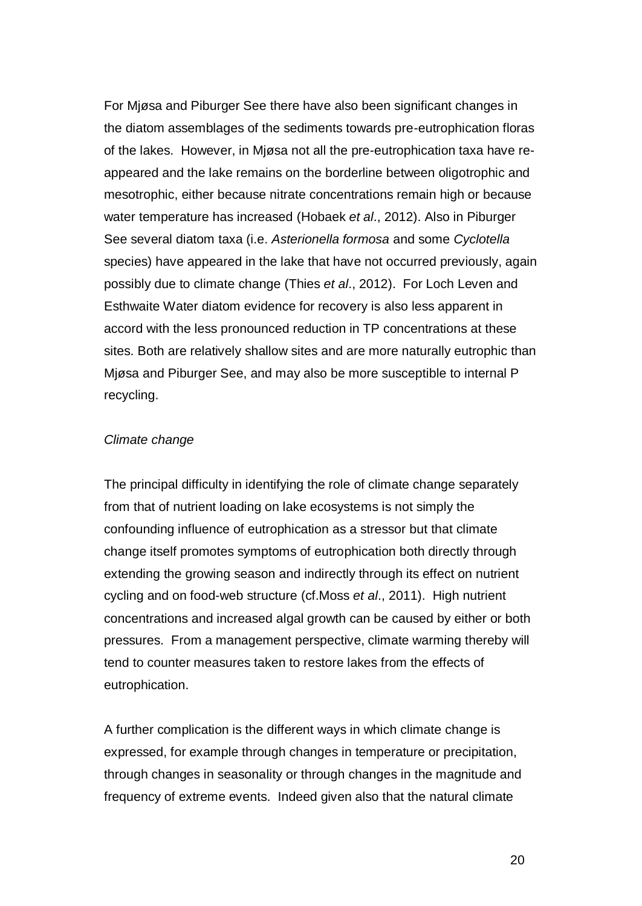For Mjøsa and Piburger See there have also been significant changes in the diatom assemblages of the sediments towards pre-eutrophication floras of the lakes. However, in Mjøsa not all the pre-eutrophication taxa have reappeared and the lake remains on the borderline between oligotrophic and mesotrophic, either because nitrate concentrations remain high or because water temperature has increased [\(Hobaek](#page-30-5) *et al*., 2012). Also in Piburger See several diatom taxa (i.e. *Asterionella formosa* and some *Cyclotella*  species) have appeared in the lake that have not occurred previously, again possibly due to climate change (Thies *et al*[., 2012\)](#page-32-3). For Loch Leven and Esthwaite Water diatom evidence for recovery is also less apparent in accord with the less pronounced reduction in TP concentrations at these sites. Both are relatively shallow sites and are more naturally eutrophic than Mjøsa and Piburger See, and may also be more susceptible to internal P recycling.

#### *Climate change*

The principal difficulty in identifying the role of climate change separately from that of nutrient loading on lake ecosystems is not simply the confounding influence of eutrophication as a stressor but that climate change itself promotes symptoms of eutrophication both directly through extending the growing season and indirectly through its effect on nutrient cycling and on food-web structure (cf.Moss *et al*[., 2011\)](#page-31-0). High nutrient concentrations and increased algal growth can be caused by either or both pressures. From a management perspective, climate warming thereby will tend to counter measures taken to restore lakes from the effects of eutrophication.

A further complication is the different ways in which climate change is expressed, for example through changes in temperature or precipitation, through changes in seasonality or through changes in the magnitude and frequency of extreme events. Indeed given also that the natural climate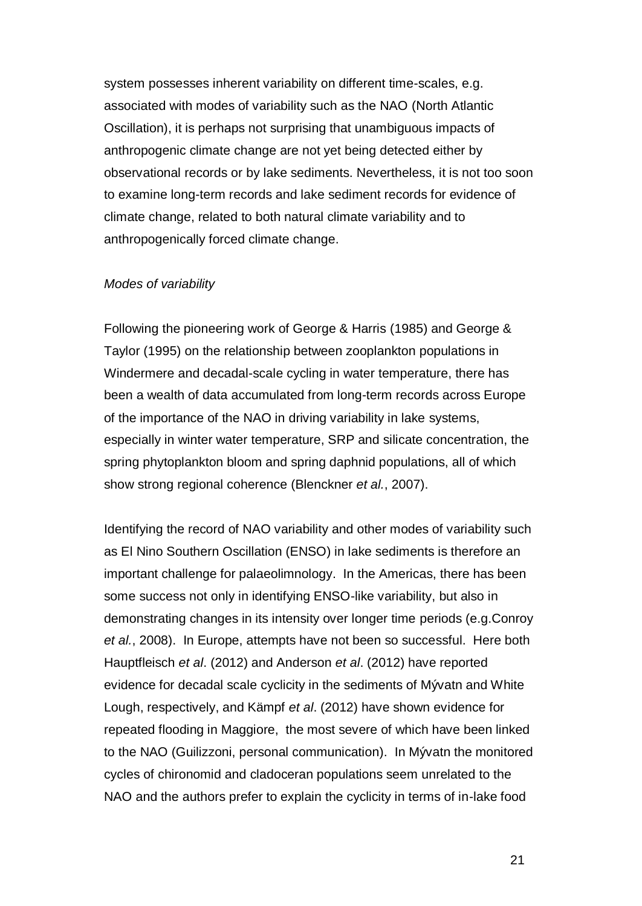system possesses inherent variability on different time-scales, e.g. associated with modes of variability such as the NAO (North Atlantic Oscillation), it is perhaps not surprising that unambiguous impacts of anthropogenic climate change are not yet being detected either by observational records or by lake sediments. Nevertheless, it is not too soon to examine long-term records and lake sediment records for evidence of climate change, related to both natural climate variability and to anthropogenically forced climate change.

#### *Modes of variability*

Following the pioneering work of George & Harris [\(1985\)](#page-29-7) and George & Taylor [\(1995\)](#page-29-8) on the relationship between zooplankton populations in Windermere and decadal-scale cycling in water temperature, there has been a wealth of data accumulated from long-term records across Europe of the importance of the NAO in driving variability in lake systems, especially in winter water temperature, SRP and silicate concentration, the spring phytoplankton bloom and spring daphnid populations, all of which show strong regional coherence [\(Blenckner](#page-28-8) *et al.*, 2007).

Identifying the record of NAO variability and other modes of variability such as El Nino Southern Oscillation (ENSO) in lake sediments is therefore an important challenge for palaeolimnology. In the Americas, there has been some success not only in identifying ENSO-like variability, but also in demonstrating changes in its intensity over longer time periods (e.g[.Conroy](#page-28-9) *et al.*[, 2008\)](#page-28-9). In Europe, attempts have not been so successful. Here both Hauptfleisch *et al*. [\(2012\)](#page-30-2) and Anderson *et al*. [\(2012\)](#page-27-7) have reported evidence for decadal scale cyclicity in the sediments of Mývatn and White Lough, respectively, and Kämpf *et al*. [\(2012\)](#page-30-4) have shown evidence for repeated flooding in Maggiore, the most severe of which have been linked to the NAO (Guilizzoni, personal communication). In Mývatn the monitored cycles of chironomid and cladoceran populations seem unrelated to the NAO and the authors prefer to explain the cyclicity in terms of in-lake food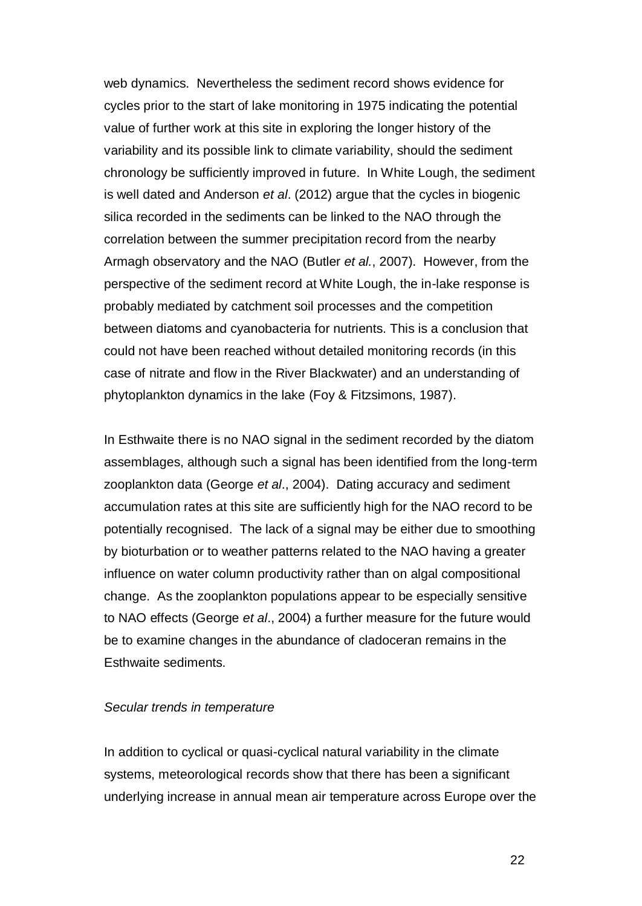web dynamics. Nevertheless the sediment record shows evidence for cycles prior to the start of lake monitoring in 1975 indicating the potential value of further work at this site in exploring the longer history of the variability and its possible link to climate variability, should the sediment chronology be sufficiently improved in future. In White Lough, the sediment is well dated and Anderson *et al*. [\(2012\)](#page-27-7) argue that the cycles in biogenic silica recorded in the sediments can be linked to the NAO through the correlation between the summer precipitation record from the nearby Armagh observatory and the NAO (Butler *et al.*[, 2007\)](#page-28-10). However, from the perspective of the sediment record at White Lough, the in-lake response is probably mediated by catchment soil processes and the competition between diatoms and cyanobacteria for nutrients. This is a conclusion that could not have been reached without detailed monitoring records (in this case of nitrate and flow in the River Blackwater) and an understanding of phytoplankton dynamics in the lake [\(Foy & Fitzsimons, 1987\)](#page-29-9).

In Esthwaite there is no NAO signal in the sediment recorded by the diatom assemblages, although such a signal has been identified from the long-term zooplankton data [\(George](#page-29-4) *et al*., 2004). Dating accuracy and sediment accumulation rates at this site are sufficiently high for the NAO record to be potentially recognised. The lack of a signal may be either due to smoothing by bioturbation or to weather patterns related to the NAO having a greater influence on water column productivity rather than on algal compositional change. As the zooplankton populations appear to be especially sensitive to NAO effects [\(George](#page-29-4) *et al*., 2004) a further measure for the future would be to examine changes in the abundance of cladoceran remains in the Esthwaite sediments.

#### *Secular trends in temperature*

In addition to cyclical or quasi-cyclical natural variability in the climate systems, meteorological records show that there has been a significant underlying increase in annual mean air temperature across Europe over the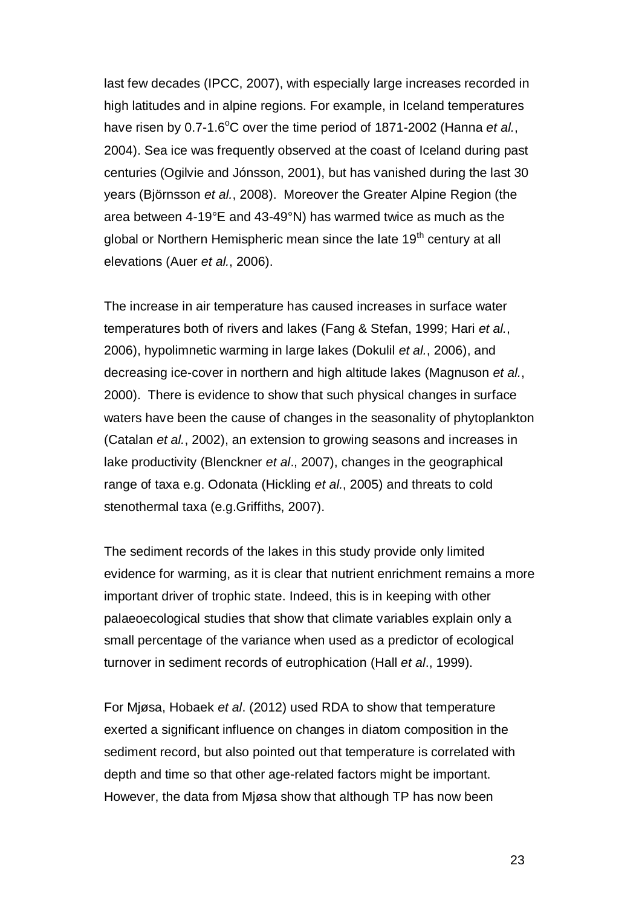last few decades [\(IPCC, 2007\)](#page-30-8), with especially large increases recorded in high latitudes and in alpine regions. For example, in Iceland temperatures have risen by 0.7-1.6<sup>o</sup>C over the time period of 1871-2002 [\(Hanna](#page-30-9) *et al.*, [2004\)](#page-30-9). Sea ice was frequently observed at the coast of Iceland during past centuries [\(Ogilvie and Jónsson, 2001\)](#page-31-12), but has vanished during the last 30 years [\(Björnsson](#page-28-11) *et al.*, 2008). Moreover the Greater Alpine Region (the area between 4-19°E and 43-49°N) has warmed twice as much as the global or Northern Hemispheric mean since the late 19<sup>th</sup> century at all elevations (Auer *et al.*[, 2006\)](#page-27-12).

The increase in air temperature has caused increases in surface water temperatures both of rivers and lakes [\(Fang & Stefan, 1999;](#page-29-10) Hari *[et al.](#page-30-10)*, [2006\)](#page-30-10), hypolimnetic warming in large lakes [\(Dokulil](#page-29-11) *et al.*, 2006), and decreasing ice-cover in northern and high altitude lakes [\(Magnuson](#page-31-13) *et al.*, [2000\)](#page-31-13). There is evidence to show that such physical changes in surface waters have been the cause of changes in the seasonality of phytoplankton [\(Catalan](#page-28-12) *et al.*, 2002), an extension to growing seasons and increases in lake productivity [\(Blenckner](#page-28-8) *et al*., 2007), changes in the geographical range of taxa e.g. Odonata [\(Hickling](#page-30-11) *et al.*, 2005) and threats to cold stenothermal taxa (e.g[.Griffiths, 2007\)](#page-29-12).

The sediment records of the lakes in this study provide only limited evidence for warming, as it is clear that nutrient enrichment remains a more important driver of trophic state. Indeed, this is in keeping with other palaeoecological studies that show that climate variables explain only a small percentage of the variance when used as a predictor of ecological turnover in sediment records of eutrophication (Hall *et al*[., 1999\)](#page-30-12).

For Mjøsa, Hobaek *et al*. [\(2012\)](#page-30-5) used RDA to show that temperature exerted a significant influence on changes in diatom composition in the sediment record, but also pointed out that temperature is correlated with depth and time so that other age-related factors might be important. However, the data from Mjøsa show that although TP has now been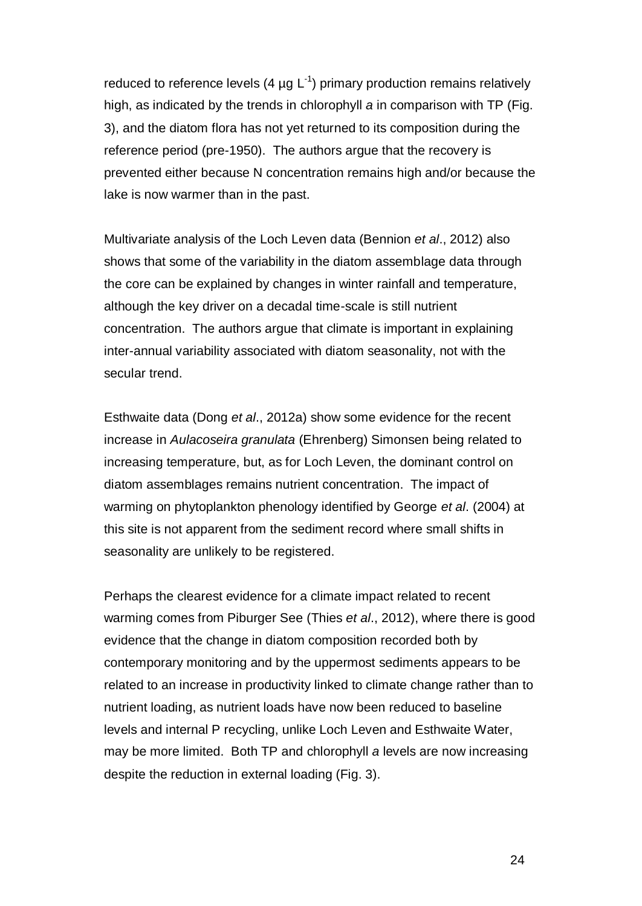reduced to reference levels (4  $\mu$ g L<sup>-1</sup>) primary production remains relatively high, as indicated by the trends in chlorophyll *a* in comparison with TP (Fig. 3), and the diatom flora has not yet returned to its composition during the reference period (pre-1950). The authors argue that the recovery is prevented either because N concentration remains high and/or because the lake is now warmer than in the past.

Multivariate analysis of the Loch Leven data [\(Bennion](#page-28-0) *et al*., 2012) also shows that some of the variability in the diatom assemblage data through the core can be explained by changes in winter rainfall and temperature, although the key driver on a decadal time-scale is still nutrient concentration. The authors argue that climate is important in explaining inter-annual variability associated with diatom seasonality, not with the secular trend.

Esthwaite data (Dong *et al*[., 2012a\)](#page-29-0) show some evidence for the recent increase in *Aulacoseira granulata* (Ehrenberg) Simonsen being related to increasing temperature, but, as for Loch Leven, the dominant control on diatom assemblages remains nutrient concentration. The impact of warming on phytoplankton phenology identified by George *et al*. [\(2004\)](#page-29-4) at this site is not apparent from the sediment record where small shifts in seasonality are unlikely to be registered.

Perhaps the clearest evidence for a climate impact related to recent warming comes from Piburger See (Thies *et al*[., 2012\)](#page-32-3), where there is good evidence that the change in diatom composition recorded both by contemporary monitoring and by the uppermost sediments appears to be related to an increase in productivity linked to climate change rather than to nutrient loading, as nutrient loads have now been reduced to baseline levels and internal P recycling, unlike Loch Leven and Esthwaite Water, may be more limited. Both TP and chlorophyll *a* levels are now increasing despite the reduction in external loading (Fig. 3).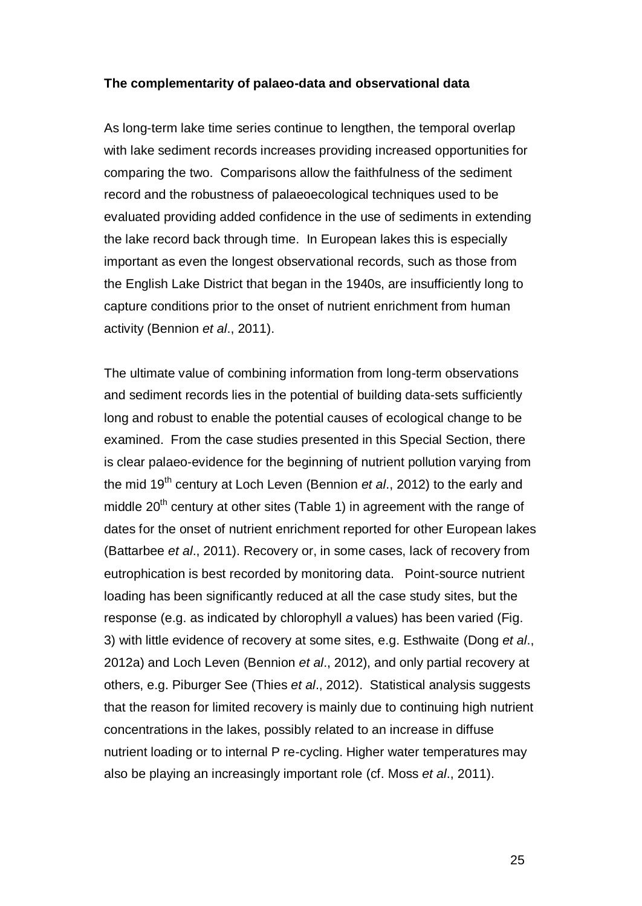#### **The complementarity of palaeo-data and observational data**

As long-term lake time series continue to lengthen, the temporal overlap with lake sediment records increases providing increased opportunities for comparing the two. Comparisons allow the faithfulness of the sediment record and the robustness of palaeoecological techniques used to be evaluated providing added confidence in the use of sediments in extending the lake record back through time. In European lakes this is especially important as even the longest observational records, such as those from the English Lake District that began in the 1940s, are insufficiently long to capture conditions prior to the onset of nutrient enrichment from human activity [\(Bennion](#page-27-2) *et al*., 2011).

The ultimate value of combining information from long-term observations and sediment records lies in the potential of building data-sets sufficiently long and robust to enable the potential causes of ecological change to be examined. From the case studies presented in this Special Section, there is clear palaeo-evidence for the beginning of nutrient pollution varying from the mid 19<sup>th</sup> century at Loch Leven [\(Bennion](#page-28-0) *et al.*, 2012) to the early and middle  $20<sup>th</sup>$  century at other sites (Table 1) in agreement with the range of dates for the onset of nutrient enrichment reported for other European lakes [\(Battarbee](#page-27-6) *et al*., 2011). Recovery or, in some cases, lack of recovery from eutrophication is best recorded by monitoring data. Point-source nutrient loading has been significantly reduced at all the case study sites, but the response (e.g. as indicated by chlorophyll *a* values) has been varied (Fig. 3) with little evidence of recovery at some sites, e.g. Esthwaite [\(Dong](#page-29-0) *et al*., [2012a\)](#page-29-0) and Loch Leven [\(Bennion](#page-28-0) *et al*., 2012), and only partial recovery at others, e.g. Piburger See (Thies *et al*[., 2012\)](#page-32-3). Statistical analysis suggests that the reason for limited recovery is mainly due to continuing high nutrient concentrations in the lakes, possibly related to an increase in diffuse nutrient loading or to internal P re-cycling. Higher water temperatures may also be playing an increasingly important role (cf. Moss *et al*[., 2011\)](#page-31-0).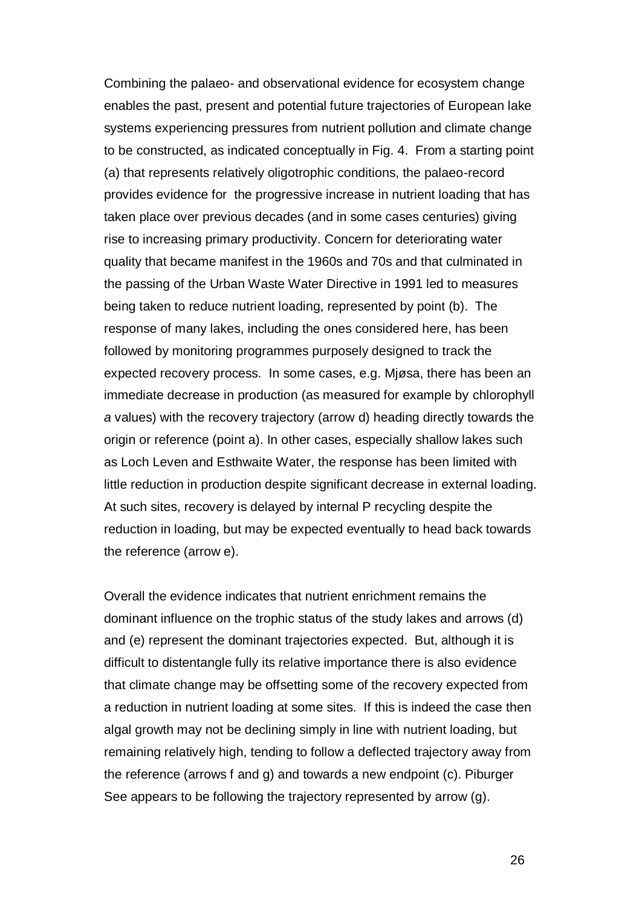Combining the palaeo- and observational evidence for ecosystem change enables the past, present and potential future trajectories of European lake systems experiencing pressures from nutrient pollution and climate change to be constructed, as indicated conceptually in Fig. 4. From a starting point (a) that represents relatively oligotrophic conditions, the palaeo-record provides evidence for the progressive increase in nutrient loading that has taken place over previous decades (and in some cases centuries) giving rise to increasing primary productivity. Concern for deteriorating water quality that became manifest in the 1960s and 70s and that culminated in the passing of the Urban Waste Water Directive in 1991 led to measures being taken to reduce nutrient loading, represented by point (b). The response of many lakes, including the ones considered here, has been followed by monitoring programmes purposely designed to track the expected recovery process. In some cases, e.g. Mjøsa, there has been an immediate decrease in production (as measured for example by chlorophyll *a* values) with the recovery trajectory (arrow d) heading directly towards the origin or reference (point a). In other cases, especially shallow lakes such as Loch Leven and Esthwaite Water, the response has been limited with little reduction in production despite significant decrease in external loading. At such sites, recovery is delayed by internal P recycling despite the reduction in loading, but may be expected eventually to head back towards the reference (arrow e).

Overall the evidence indicates that nutrient enrichment remains the dominant influence on the trophic status of the study lakes and arrows (d) and (e) represent the dominant trajectories expected. But, although it is difficult to distentangle fully its relative importance there is also evidence that climate change may be offsetting some of the recovery expected from a reduction in nutrient loading at some sites. If this is indeed the case then algal growth may not be declining simply in line with nutrient loading, but remaining relatively high, tending to follow a deflected trajectory away from the reference (arrows f and g) and towards a new endpoint (c). Piburger See appears to be following the trajectory represented by arrow (g).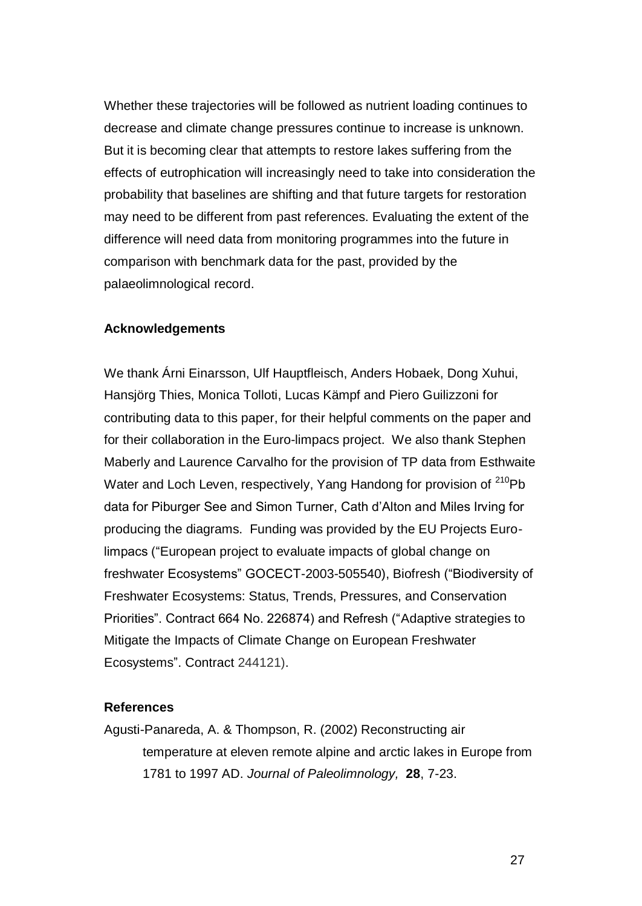Whether these trajectories will be followed as nutrient loading continues to decrease and climate change pressures continue to increase is unknown. But it is becoming clear that attempts to restore lakes suffering from the effects of eutrophication will increasingly need to take into consideration the probability that baselines are shifting and that future targets for restoration may need to be different from past references. Evaluating the extent of the difference will need data from monitoring programmes into the future in comparison with benchmark data for the past, provided by the palaeolimnological record.

#### **Acknowledgements**

We thank Árni Einarsson, Ulf Hauptfleisch, Anders Hobaek, Dong Xuhui, Hansjörg Thies, Monica Tolloti, Lucas Kämpf and Piero Guilizzoni for contributing data to this paper, for their helpful comments on the paper and for their collaboration in the Euro-limpacs project. We also thank Stephen Maberly and Laurence Carvalho for the provision of TP data from Esthwaite Water and Loch Leven, respectively, Yang Handong for provision of <sup>210</sup>Pb data for Piburger See and Simon Turner, Cath d'Alton and Miles Irving for producing the diagrams. Funding was provided by the EU Projects Eurolimpacs ("European project to evaluate impacts of global change on freshwater Ecosystems" GOCECT-2003-505540), Biofresh ("Biodiversity of Freshwater Ecosystems: Status, Trends, Pressures, and Conservation Priorities". Contract 664 No. 226874) and Refresh ("Adaptive strategies to Mitigate the Impacts of Climate Change on European Freshwater Ecosystems". Contract 244121).

#### **References**

<span id="page-26-0"></span>Agusti-Panareda, A. & Thompson, R. (2002) Reconstructing air temperature at eleven remote alpine and arctic lakes in Europe from 1781 to 1997 AD. *Journal of Paleolimnology,* **28**, 7-23.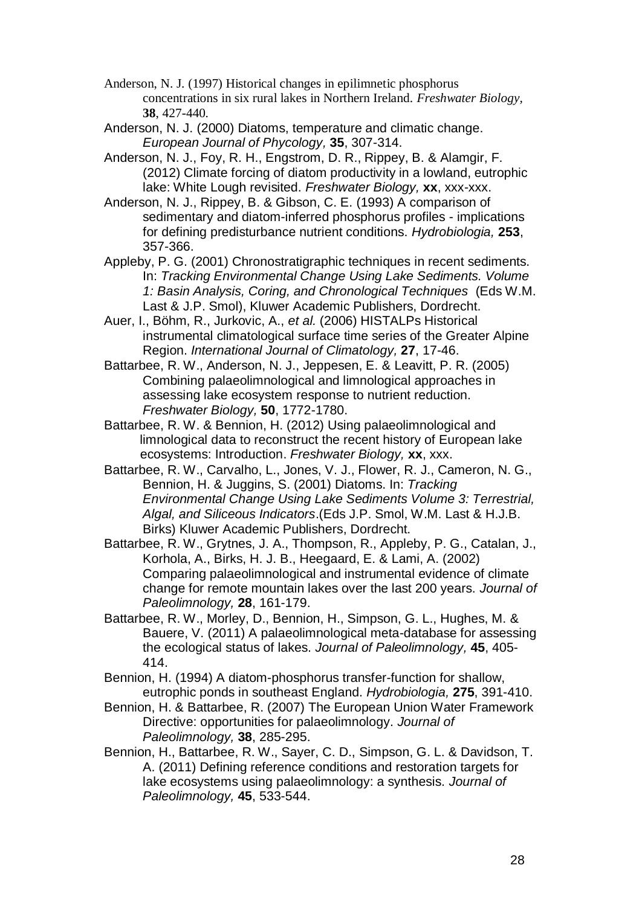- <span id="page-27-13"></span><span id="page-27-10"></span>Anderson, N. J. (1997) Historical changes in epilimnetic phosphorus concentrations in six rural lakes in Northern Ireland. *Freshwater Biology,*  **38**, 427-440.
- Anderson, N. J. (2000) Diatoms, temperature and climatic change. *European Journal of Phycology,* **35**, 307-314.
- <span id="page-27-7"></span>Anderson, N. J., Foy, R. H., Engstrom, D. R., Rippey, B. & Alamgir, F. (2012) Climate forcing of diatom productivity in a lowland, eutrophic lake: White Lough revisited. *Freshwater Biology,* **xx**, xxx-xxx.
- <span id="page-27-11"></span>Anderson, N. J., Rippey, B. & Gibson, C. E. (1993) A comparison of sedimentary and diatom-inferred phosphorus profiles - implications for defining predisturbance nutrient conditions. *Hydrobiologia,* **253**, 357-366.
- <span id="page-27-4"></span>Appleby, P. G. (2001) Chronostratigraphic techniques in recent sediments. In: *Tracking Environmental Change Using Lake Sediments. Volume 1: Basin Analysis, Coring, and Chronological Techniques* (Eds W.M. Last & J.P. Smol), Kluwer Academic Publishers, Dordrecht.
- <span id="page-27-12"></span>Auer, I., Böhm, R., Jurkovic, A., *et al.* (2006) HISTALPs Historical instrumental climatological surface time series of the Greater Alpine Region. *International Journal of Climatology,* **27**, 17-46.
- <span id="page-27-1"></span>Battarbee, R. W., Anderson, N. J., Jeppesen, E. & Leavitt, P. R. (2005) Combining palaeolimnological and limnological approaches in assessing lake ecosystem response to nutrient reduction. *Freshwater Biology,* **50**, 1772-1780.
- <span id="page-27-3"></span>Battarbee, R. W. & Bennion, H. (2012) Using palaeolimnological and limnological data to reconstruct the recent history of European lake ecosystems: Introduction. *Freshwater Biology,* **xx**, xxx.
- <span id="page-27-8"></span>Battarbee, R. W., Carvalho, L., Jones, V. J., Flower, R. J., Cameron, N. G., Bennion, H. & Juggins, S. (2001) Diatoms. In: *Tracking Environmental Change Using Lake Sediments Volume 3: Terrestrial, Algal, and Siliceous Indicators*.(Eds J.P. Smol, W.M. Last & H.J.B. Birks) Kluwer Academic Publishers, Dordrecht.
- <span id="page-27-0"></span>Battarbee, R. W., Grytnes, J. A., Thompson, R., Appleby, P. G., Catalan, J., Korhola, A., Birks, H. J. B., Heegaard, E. & Lami, A. (2002) Comparing palaeolimnological and instrumental evidence of climate change for remote mountain lakes over the last 200 years. *Journal of Paleolimnology,* **28**, 161-179.
- <span id="page-27-6"></span>Battarbee, R. W., Morley, D., Bennion, H., Simpson, G. L., Hughes, M. & Bauere, V. (2011) A palaeolimnological meta-database for assessing the ecological status of lakes. *Journal of Paleolimnology,* **45**, 405- 414.
- <span id="page-27-9"></span>Bennion, H. (1994) A diatom-phosphorus transfer-function for shallow, eutrophic ponds in southeast England. *Hydrobiologia,* **275**, 391-410.
- <span id="page-27-5"></span>Bennion, H. & Battarbee, R. (2007) The European Union Water Framework Directive: opportunities for palaeolimnology. *Journal of Paleolimnology,* **38**, 285-295.
- <span id="page-27-2"></span>Bennion, H., Battarbee, R. W., Sayer, C. D., Simpson, G. L. & Davidson, T. A. (2011) Defining reference conditions and restoration targets for lake ecosystems using palaeolimnology: a synthesis. *Journal of Paleolimnology,* **45**, 533-544.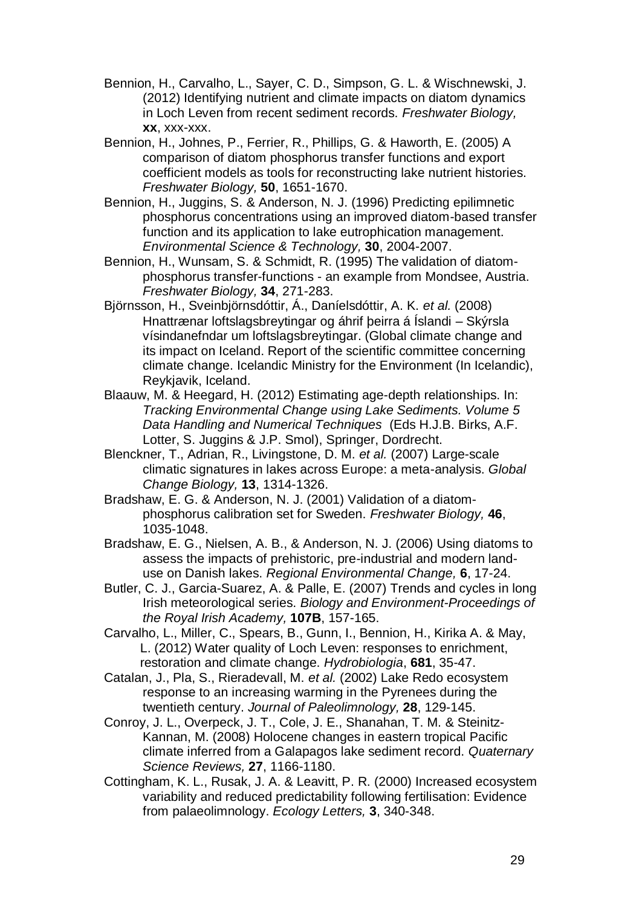- <span id="page-28-0"></span>Bennion, H., Carvalho, L., Sayer, C. D., Simpson, G. L. & Wischnewski, J. (2012) Identifying nutrient and climate impacts on diatom dynamics in Loch Leven from recent sediment records. *Freshwater Biology,* **xx**, xxx-xxx.
- <span id="page-28-6"></span>Bennion, H., Johnes, P., Ferrier, R., Phillips, G. & Haworth, E. (2005) A comparison of diatom phosphorus transfer functions and export coefficient models as tools for reconstructing lake nutrient histories. *Freshwater Biology,* **50**, 1651-1670.
- <span id="page-28-3"></span>Bennion, H., Juggins, S. & Anderson, N. J. (1996) Predicting epilimnetic phosphorus concentrations using an improved diatom-based transfer function and its application to lake eutrophication management. *Environmental Science & Technology,* **30**, 2004-2007.
- <span id="page-28-4"></span>Bennion, H., Wunsam, S. & Schmidt, R. (1995) The validation of diatomphosphorus transfer-functions - an example from Mondsee, Austria. *Freshwater Biology,* **34**, 271-283.
- <span id="page-28-11"></span>Björnsson, H., Sveinbjörnsdóttir, Á., Daníelsdóttir, A. K. *et al.* (2008) Hnattrænar loftslagsbreytingar og áhrif þeirra á Íslandi – Skýrsla vísindanefndar um loftslagsbreytingar. (Global climate change and its impact on Iceland. Report of the scientific committee concerning climate change. Icelandic Ministry for the Environment (In Icelandic), Reykjavik, Iceland.
- <span id="page-28-7"></span>Blaauw, M. & Heegard, H. (2012) Estimating age-depth relationships. In: *Tracking Environmental Change using Lake Sediments. Volume 5 Data Handling and Numerical Techniques* (Eds H.J.B. Birks, A.F. Lotter, S. Juggins & J.P. Smol), Springer, Dordrecht.
- <span id="page-28-8"></span>Blenckner, T., Adrian, R., Livingstone, D. M. *et al.* (2007) Large-scale climatic signatures in lakes across Europe: a meta-analysis. *Global Change Biology,* **13**, 1314-1326.
- <span id="page-28-5"></span>Bradshaw, E. G. & Anderson, N. J. (2001) Validation of a diatomphosphorus calibration set for Sweden. *Freshwater Biology,* **46**, 1035-1048.
- <span id="page-28-2"></span>Bradshaw, E. G., Nielsen, A. B., & Anderson, N. J. (2006) Using diatoms to assess the impacts of prehistoric, pre-industrial and modern landuse on Danish lakes. *Regional Environmental Change,* **6**, 17-24.
- <span id="page-28-10"></span>Butler, C. J., Garcia-Suarez, A. & Palle, E. (2007) Trends and cycles in long Irish meteorological series. *Biology and Environment-Proceedings of the Royal Irish Academy,* **107B**, 157-165.
- Carvalho, L., Miller, C., Spears, B., Gunn, I., Bennion, H., Kirika A. & May, L. (2012) Water quality of Loch Leven: responses to enrichment, restoration and climate change. *Hydrobiologia*, **681**, 35-47.
- <span id="page-28-12"></span>Catalan, J., Pla, S., Rieradevall, M. *et al.* (2002) Lake Redo ecosystem response to an increasing warming in the Pyrenees during the twentieth century. *Journal of Paleolimnology,* **28**, 129-145.
- <span id="page-28-9"></span>Conroy, J. L., Overpeck, J. T., Cole, J. E., Shanahan, T. M. & Steinitz-Kannan, M. (2008) Holocene changes in eastern tropical Pacific climate inferred from a Galapagos lake sediment record. *Quaternary Science Reviews,* **27**, 1166-1180.
- <span id="page-28-1"></span>Cottingham, K. L., Rusak, J. A. & Leavitt, P. R. (2000) Increased ecosystem variability and reduced predictability following fertilisation: Evidence from palaeolimnology. *Ecology Letters,* **3**, 340-348.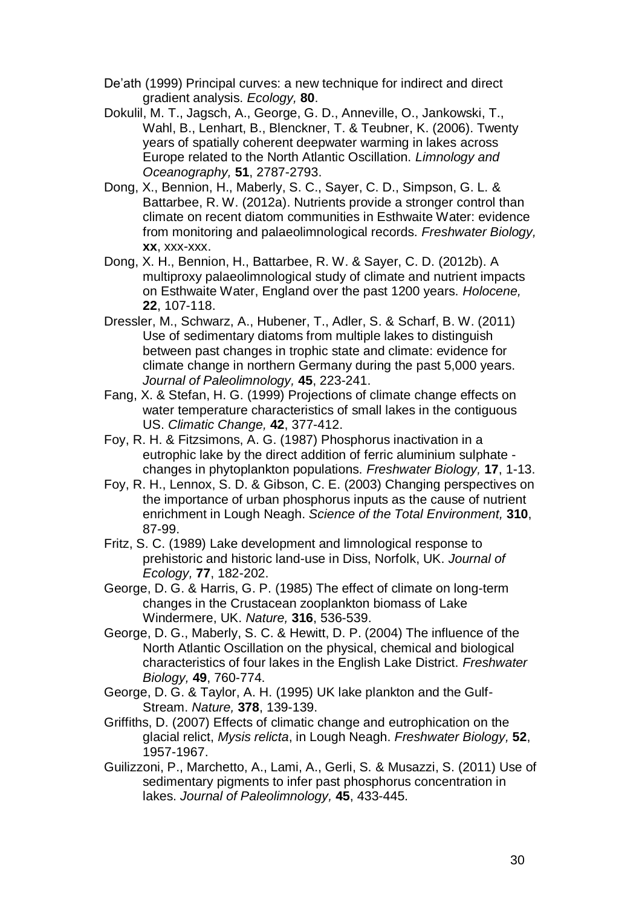- <span id="page-29-5"></span>De'ath (1999) Principal curves: a new technique for indirect and direct gradient analysis. *Ecology,* **80**.
- <span id="page-29-11"></span>Dokulil, M. T., Jagsch, A., George, G. D., Anneville, O., Jankowski, T., Wahl, B., Lenhart, B., Blenckner, T. & Teubner, K. (2006). Twenty years of spatially coherent deepwater warming in lakes across Europe related to the North Atlantic Oscillation. *Limnology and Oceanography,* **51**, 2787-2793.
- <span id="page-29-0"></span>Dong, X., Bennion, H., Maberly, S. C., Sayer, C. D., Simpson, G. L. & Battarbee, R. W. (2012a). Nutrients provide a stronger control than climate on recent diatom communities in Esthwaite Water: evidence from monitoring and palaeolimnological records. *Freshwater Biology,* **xx**, xxx-xxx.
- <span id="page-29-1"></span>Dong, X. H., Bennion, H., Battarbee, R. W. & Sayer, C. D. (2012b). A multiproxy palaeolimnological study of climate and nutrient impacts on Esthwaite Water, England over the past 1200 years. *Holocene,* **22**, 107-118.
- <span id="page-29-2"></span>Dressler, M., Schwarz, A., Hubener, T., Adler, S. & Scharf, B. W. (2011) Use of sedimentary diatoms from multiple lakes to distinguish between past changes in trophic state and climate: evidence for climate change in northern Germany during the past 5,000 years. *Journal of Paleolimnology,* **45**, 223-241.
- <span id="page-29-10"></span>Fang, X. & Stefan, H. G. (1999) Projections of climate change effects on water temperature characteristics of small lakes in the contiguous US. *Climatic Change,* **42**, 377-412.
- <span id="page-29-9"></span>Foy, R. H. & Fitzsimons, A. G. (1987) Phosphorus inactivation in a eutrophic lake by the direct addition of ferric aluminium sulphate changes in phytoplankton populations. *Freshwater Biology,* **17**, 1-13.
- <span id="page-29-6"></span>Foy, R. H., Lennox, S. D. & Gibson, C. E. (2003) Changing perspectives on the importance of urban phosphorus inputs as the cause of nutrient enrichment in Lough Neagh. *Science of the Total Environment,* **310**, 87-99.
- Fritz, S. C. (1989) Lake development and limnological response to prehistoric and historic land-use in Diss, Norfolk, UK. *Journal of Ecology,* **77**, 182-202.
- <span id="page-29-7"></span>George, D. G. & Harris, G. P. (1985) The effect of climate on long-term changes in the Crustacean zooplankton biomass of Lake Windermere, UK. *Nature,* **316**, 536-539.
- <span id="page-29-4"></span>George, D. G., Maberly, S. C. & Hewitt, D. P. (2004) The influence of the North Atlantic Oscillation on the physical, chemical and biological characteristics of four lakes in the English Lake District. *Freshwater Biology,* **49**, 760-774.
- <span id="page-29-8"></span>George, D. G. & Taylor, A. H. (1995) UK lake plankton and the Gulf-Stream. *Nature,* **378**, 139-139.
- <span id="page-29-12"></span>Griffiths, D. (2007) Effects of climatic change and eutrophication on the glacial relict, *Mysis relicta*, in Lough Neagh. *Freshwater Biology,* **52**, 1957-1967.
- <span id="page-29-3"></span>Guilizzoni, P., Marchetto, A., Lami, A., Gerli, S. & Musazzi, S. (2011) Use of sedimentary pigments to infer past phosphorus concentration in lakes. *Journal of Paleolimnology,* **45**, 433-445.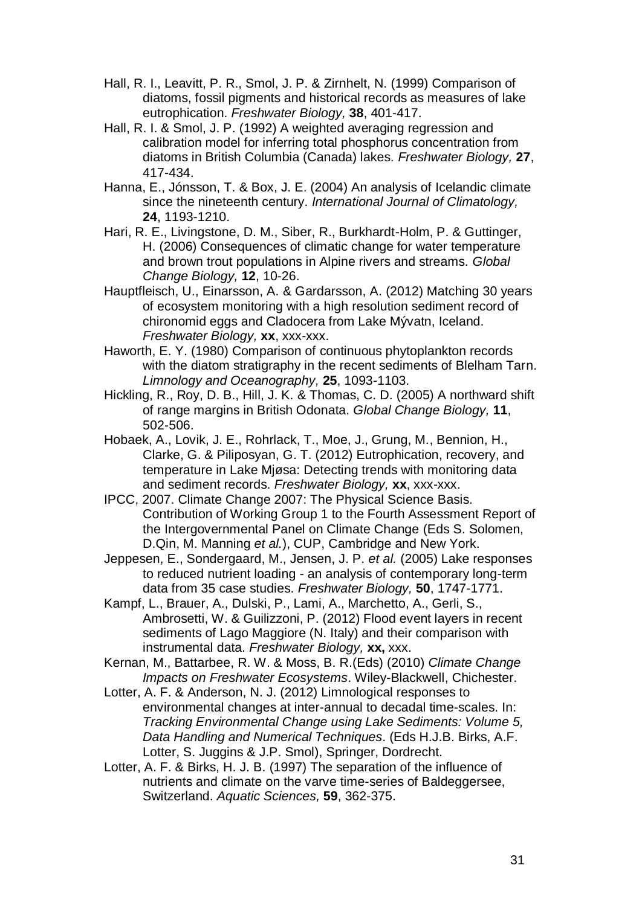- <span id="page-30-12"></span>Hall, R. I., Leavitt, P. R., Smol, J. P. & Zirnhelt, N. (1999) Comparison of diatoms, fossil pigments and historical records as measures of lake eutrophication. *Freshwater Biology,* **38**, 401-417.
- Hall, R. I. & Smol, J. P. (1992) A weighted averaging regression and calibration model for inferring total phosphorus concentration from diatoms in British Columbia (Canada) lakes. *Freshwater Biology,* **27**, 417-434.
- <span id="page-30-9"></span>Hanna, E., Jónsson, T. & Box, J. E. (2004) An analysis of Icelandic climate since the nineteenth century. *International Journal of Climatology,* **24**, 1193-1210.
- <span id="page-30-10"></span>Hari, R. E., Livingstone, D. M., Siber, R., Burkhardt-Holm, P. & Guttinger, H. (2006) Consequences of climatic change for water temperature and brown trout populations in Alpine rivers and streams. *Global Change Biology,* **12**, 10-26.
- <span id="page-30-2"></span>Hauptfleisch, U., Einarsson, A. & Gardarsson, A. (2012) Matching 30 years of ecosystem monitoring with a high resolution sediment record of chironomid eggs and Cladocera from Lake Mývatn, Iceland. *Freshwater Biology,* **xx**, xxx-xxx.
- <span id="page-30-3"></span>Haworth, E. Y. (1980) Comparison of continuous phytoplankton records with the diatom stratigraphy in the recent sediments of Blelham Tarn. *Limnology and Oceanography,* **25**, 1093-1103.
- <span id="page-30-11"></span>Hickling, R., Roy, D. B., Hill, J. K. & Thomas, C. D. (2005) A northward shift of range margins in British Odonata. *Global Change Biology,* **11**, 502-506.
- <span id="page-30-5"></span>Hobaek, A., Lovik, J. E., Rohrlack, T., Moe, J., Grung, M., Bennion, H., Clarke, G. & Piliposyan, G. T. (2012) Eutrophication, recovery, and temperature in Lake Mjøsa: Detecting trends with monitoring data and sediment records. *Freshwater Biology,* **xx**, xxx-xxx.
- <span id="page-30-8"></span>IPCC, 2007. Climate Change 2007: The Physical Science Basis. Contribution of Working Group 1 to the Fourth Assessment Report of the Intergovernmental Panel on Climate Change (Eds S. Solomen, D.Qin, M. Manning *et al.*), CUP, Cambridge and New York.
- <span id="page-30-7"></span>Jeppesen, E., Sondergaard, M., Jensen, J. P. *et al.* (2005) Lake responses to reduced nutrient loading - an analysis of contemporary long-term data from 35 case studies. *Freshwater Biology,* **50**, 1747-1771.
- <span id="page-30-4"></span>Kampf, L., Brauer, A., Dulski, P., Lami, A., Marchetto, A., Gerli, S., Ambrosetti, W. & Guilizzoni, P. (2012) Flood event layers in recent sediments of Lago Maggiore (N. Italy) and their comparison with instrumental data. *Freshwater Biology,* **xx,** xxx.
- <span id="page-30-0"></span>Kernan, M., Battarbee, R. W. & Moss, B. R.(Eds) (2010) *Climate Change Impacts on Freshwater Ecosystems*. Wiley-Blackwell, Chichester.
- <span id="page-30-1"></span>Lotter, A. F. & Anderson, N. J. (2012) Limnological responses to environmental changes at inter-annual to decadal time-scales. In: *Tracking Environmental Change using Lake Sediments: Volume 5, Data Handling and Numerical Techniques*. (Eds H.J.B. Birks, A.F. Lotter, S. Juggins & J.P. Smol), Springer, Dordrecht.
- <span id="page-30-6"></span>Lotter, A. F. & Birks, H. J. B. (1997) The separation of the influence of nutrients and climate on the varve time-series of Baldeggersee, Switzerland. *Aquatic Sciences,* **59**, 362-375.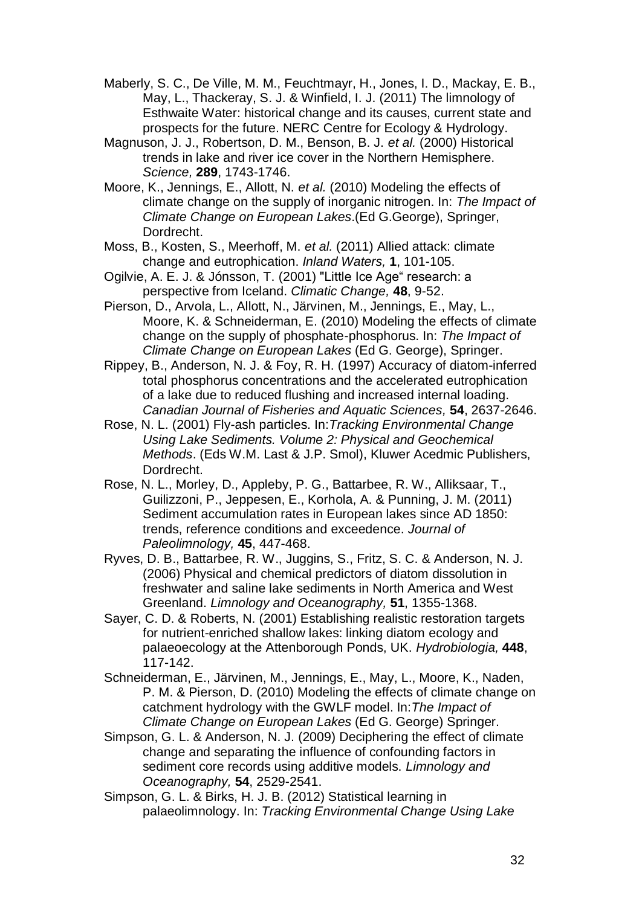- <span id="page-31-11"></span>Maberly, S. C., De Ville, M. M., Feuchtmayr, H., Jones, I. D., Mackay, E. B., May, L., Thackeray, S. J. & Winfield, I. J. (2011) The limnology of Esthwaite Water: historical change and its causes, current state and prospects for the future. NERC Centre for Ecology & Hydrology.
- <span id="page-31-13"></span>Magnuson, J. J., Robertson, D. M., Benson, B. J. *et al.* (2000) Historical trends in lake and river ice cover in the Northern Hemisphere. *Science,* **289**, 1743-1746.
- <span id="page-31-1"></span>Moore, K., Jennings, E., Allott, N. *et al.* (2010) Modeling the effects of climate change on the supply of inorganic nitrogen. In: *The Impact of Climate Change on European Lakes*.(Ed G.George), Springer, Dordrecht.
- <span id="page-31-0"></span>Moss, B., Kosten, S., Meerhoff, M. *et al.* (2011) Allied attack: climate change and eutrophication. *Inland Waters,* **1**, 101-105.
- <span id="page-31-12"></span>Ogilvie, A. E. J. & Jónsson, T. (2001) "Little Ice Age" research: a perspective from Iceland. *Climatic Change,* **48**, 9-52.
- <span id="page-31-2"></span>Pierson, D., Arvola, L., Allott, N., Järvinen, M., Jennings, E., May, L., Moore, K. & Schneiderman, E. (2010) Modeling the effects of climate change on the supply of phosphate-phosphorus. In: *The Impact of Climate Change on European Lakes* (Ed G. George), Springer.
- <span id="page-31-7"></span>Rippey, B., Anderson, N. J. & Foy, R. H. (1997) Accuracy of diatom-inferred total phosphorus concentrations and the accelerated eutrophication of a lake due to reduced flushing and increased internal loading. *Canadian Journal of Fisheries and Aquatic Sciences,* **54**, 2637-2646.
- <span id="page-31-4"></span>Rose, N. L. (2001) Fly-ash particles. In:*Tracking Environmental Change Using Lake Sediments. Volume 2: Physical and Geochemical Methods*. (Eds W.M. Last & J.P. Smol), Kluwer Acedmic Publishers, Dordrecht.
- <span id="page-31-5"></span>Rose, N. L., Morley, D., Appleby, P. G., Battarbee, R. W., Alliksaar, T., Guilizzoni, P., Jeppesen, E., Korhola, A. & Punning, J. M. (2011) Sediment accumulation rates in European lakes since AD 1850: trends, reference conditions and exceedence. *Journal of Paleolimnology,* **45**, 447-468.
- <span id="page-31-6"></span>Ryves, D. B., Battarbee, R. W., Juggins, S., Fritz, S. C. & Anderson, N. J. (2006) Physical and chemical predictors of diatom dissolution in freshwater and saline lake sediments in North America and West Greenland. *Limnology and Oceanography,* **51**, 1355-1368.
- <span id="page-31-9"></span>Sayer, C. D. & Roberts, N. (2001) Establishing realistic restoration targets for nutrient-enriched shallow lakes: linking diatom ecology and palaeoecology at the Attenborough Ponds, UK. *Hydrobiologia,* **448**, 117-142.
- <span id="page-31-3"></span>Schneiderman, E., Järvinen, M., Jennings, E., May, L., Moore, K., Naden, P. M. & Pierson, D. (2010) Modeling the effects of climate change on catchment hydrology with the GWLF model. In:*The Impact of Climate Change on European Lakes* (Ed G. George) Springer.
- <span id="page-31-8"></span>Simpson, G. L. & Anderson, N. J. (2009) Deciphering the effect of climate change and separating the influence of confounding factors in sediment core records using additive models. *Limnology and Oceanography,* **54**, 2529-2541.
- <span id="page-31-10"></span>Simpson, G. L. & Birks, H. J. B. (2012) Statistical learning in palaeolimnology. In: *Tracking Environmental Change Using Lake*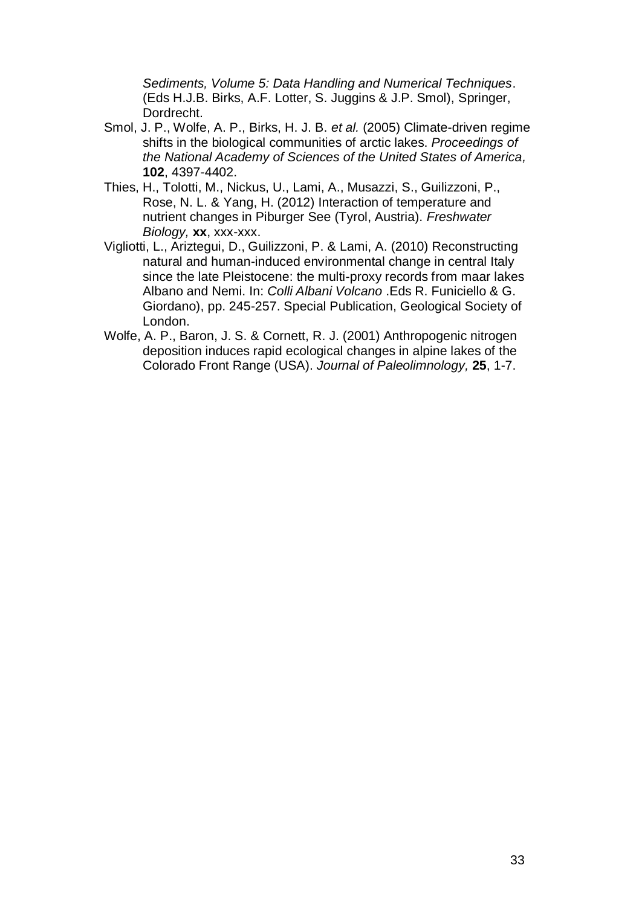*Sediments, Volume 5: Data Handling and Numerical Techniques*. (Eds H.J.B. Birks, A.F. Lotter, S. Juggins & J.P. Smol), Springer, Dordrecht.

- <span id="page-32-0"></span>Smol, J. P., Wolfe, A. P., Birks, H. J. B. *et al.* (2005) Climate-driven regime shifts in the biological communities of arctic lakes. *Proceedings of the National Academy of Sciences of the United States of America,* **102**, 4397-4402.
- <span id="page-32-3"></span>Thies, H., Tolotti, M., Nickus, U., Lami, A., Musazzi, S., Guilizzoni, P., Rose, N. L. & Yang, H. (2012) Interaction of temperature and nutrient changes in Piburger See (Tyrol, Austria). *Freshwater Biology,* **xx**, xxx-xxx.
- <span id="page-32-1"></span>Vigliotti, L., Ariztegui, D., Guilizzoni, P. & Lami, A. (2010) Reconstructing natural and human-induced environmental change in central Italy since the late Pleistocene: the multi-proxy records from maar lakes Albano and Nemi. In: *Colli Albani Volcano* .Eds R. Funiciello & G. Giordano), pp. 245-257. Special Publication, Geological Society of London.
- <span id="page-32-2"></span>Wolfe, A. P., Baron, J. S. & Cornett, R. J. (2001) Anthropogenic nitrogen deposition induces rapid ecological changes in alpine lakes of the Colorado Front Range (USA). *Journal of Paleolimnology,* **25**, 1-7.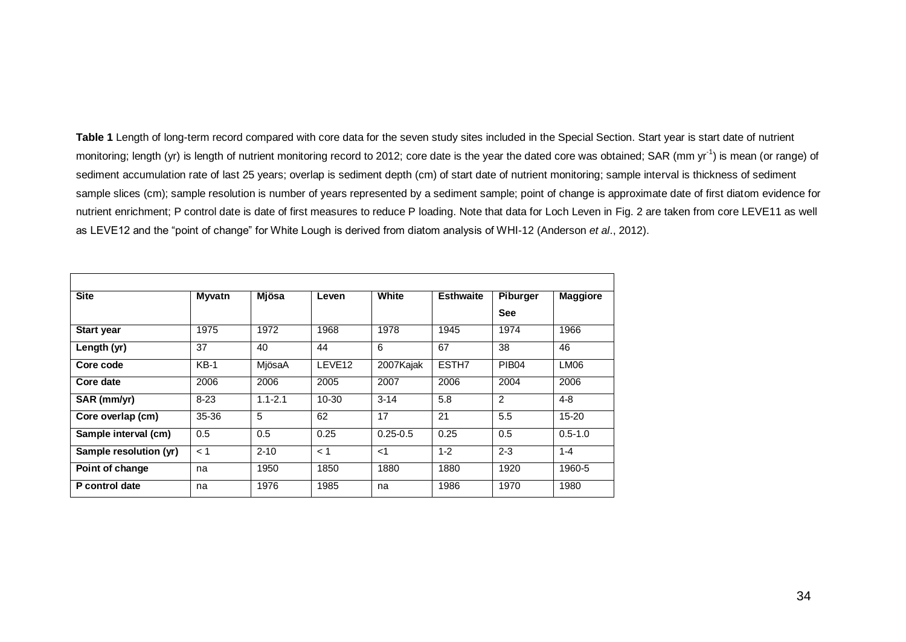Table 1 Length of long-term record compared with core data for the seven study sites included in the Special Section. Start year is start date of nutrient monitoring; length (yr) is length of nutrient monitoring record to 2012; core date is the year the dated core was obtained; SAR (mm yr<sup>-1</sup>) is mean (or range) of sediment accumulation rate of last 25 years; overlap is sediment depth (cm) of start date of nutrient monitoring; sample interval is thickness of sediment sample slices (cm); sample resolution is number of years represented by a sediment sample; point of change is approximate date of first diatom evidence for nutrient enrichment; P control date is date of first measures to reduce P loading. Note that data for Loch Leven in Fig. 2 are taken from core LEVE11 as well as LEVE12 and the "point of change" for White Lough is derived from diatom analysis of WHI-12 [\(Anderson](#page-27-13) *et al*., 2012).

| <b>Site</b>            | Myvatn    | <b>Mjösa</b> | Leven              | White        | <b>Esthwaite</b>  | Piburger          | <b>Maggiore</b>  |
|------------------------|-----------|--------------|--------------------|--------------|-------------------|-------------------|------------------|
|                        |           |              |                    |              |                   | <b>See</b>        |                  |
| <b>Start year</b>      | 1975      | 1972         | 1968               | 1978         | 1945              | 1974              | 1966             |
| Length (yr)            | 37        | 40           | 44                 | 6            | 67                | 38                | 46               |
| Core code              | $KB-1$    | MjösaA       | LEVE <sub>12</sub> | 2007Kajak    | ESTH <sub>7</sub> | PIB <sub>04</sub> | LM <sub>06</sub> |
| Core date              | 2006      | 2006         | 2005               | 2007         | 2006              | 2004              | 2006             |
| SAR (mm/yr)            | $8 - 23$  | $1.1 - 2.1$  | $10 - 30$          | $3 - 14$     | 5.8               | 2                 | $4 - 8$          |
| Core overlap (cm)      | $35 - 36$ | 5            | 62                 | 17           | 21                | 5.5               | $15 - 20$        |
| Sample interval (cm)   | 0.5       | 0.5          | 0.25               | $0.25 - 0.5$ | 0.25              | 0.5               | $0.5 - 1.0$      |
| Sample resolution (yr) | < 1       | $2 - 10$     | < 1                | $<$ 1        | $1 - 2$           | $2 - 3$           | $1 - 4$          |
| Point of change        | na        | 1950         | 1850               | 1880         | 1880              | 1920              | 1960-5           |
| P control date         | na        | 1976         | 1985               | na           | 1986              | 1970              | 1980             |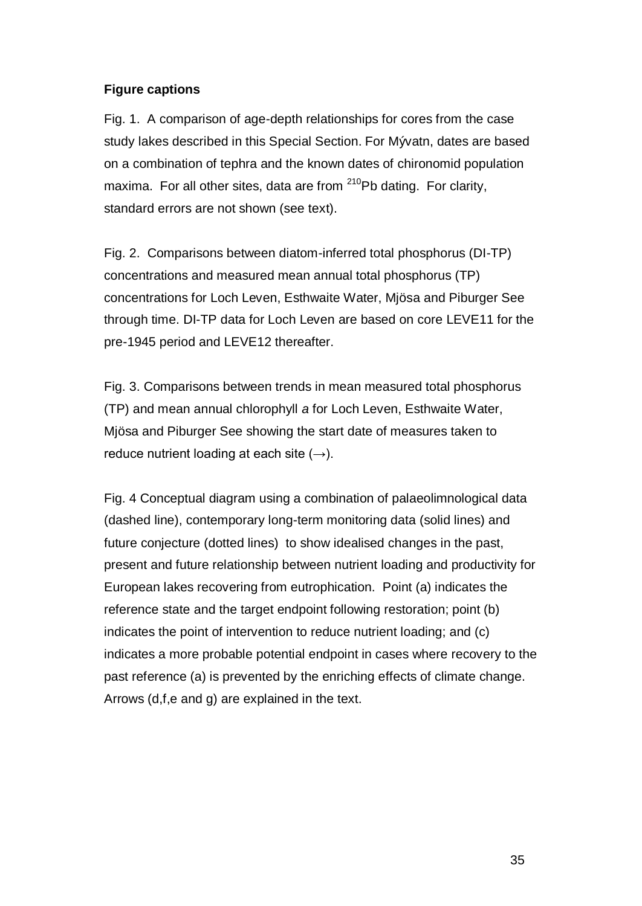# **Figure captions**

Fig. 1. A comparison of age-depth relationships for cores from the case study lakes described in this Special Section. For Mývatn, dates are based on a combination of tephra and the known dates of chironomid population maxima. For all other sites, data are from  $210Pb$  dating. For clarity, standard errors are not shown (see text).

Fig. 2. Comparisons between diatom-inferred total phosphorus (DI-TP) concentrations and measured mean annual total phosphorus (TP) concentrations for Loch Leven, Esthwaite Water, Mjösa and Piburger See through time. DI-TP data for Loch Leven are based on core LEVE11 for the pre-1945 period and LEVE12 thereafter.

Fig. 3. Comparisons between trends in mean measured total phosphorus (TP) and mean annual chlorophyll *a* for Loch Leven, Esthwaite Water, Mjösa and Piburger See showing the start date of measures taken to reduce nutrient loading at each site  $(\rightarrow)$ .

Fig. 4 Conceptual diagram using a combination of palaeolimnological data (dashed line), contemporary long-term monitoring data (solid lines) and future conjecture (dotted lines) to show idealised changes in the past, present and future relationship between nutrient loading and productivity for European lakes recovering from eutrophication. Point (a) indicates the reference state and the target endpoint following restoration; point (b) indicates the point of intervention to reduce nutrient loading; and (c) indicates a more probable potential endpoint in cases where recovery to the past reference (a) is prevented by the enriching effects of climate change. Arrows (d,f,e and g) are explained in the text.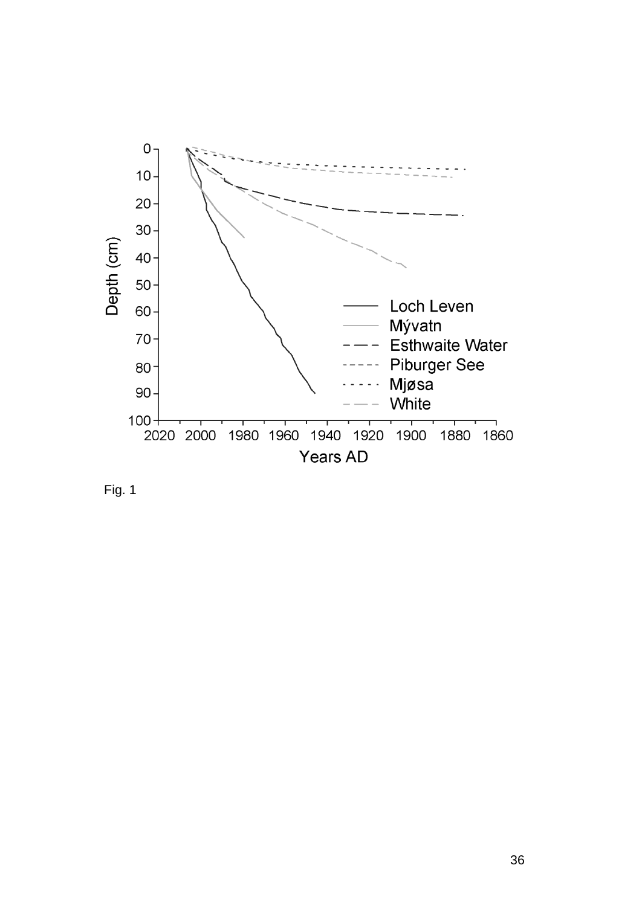

Fig. 1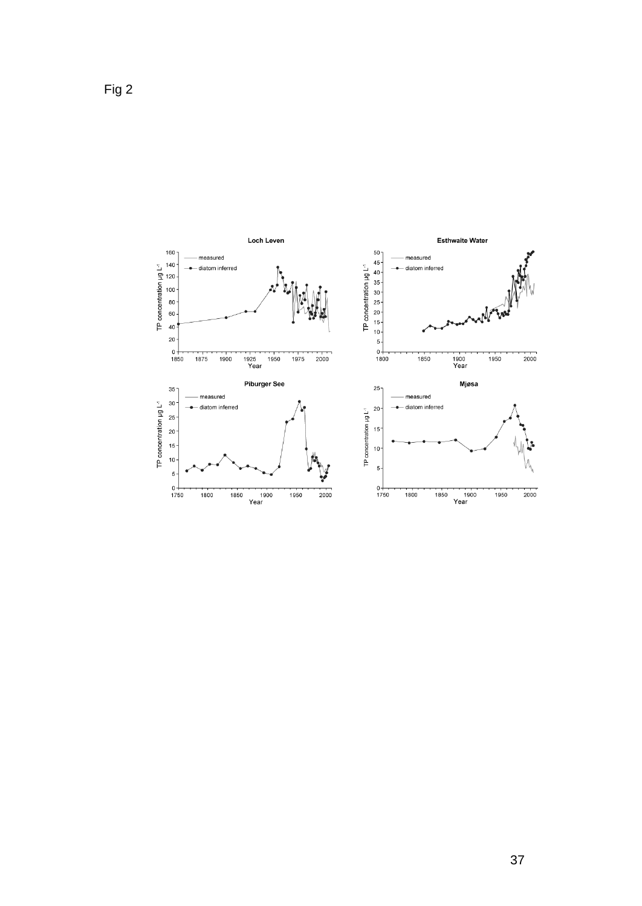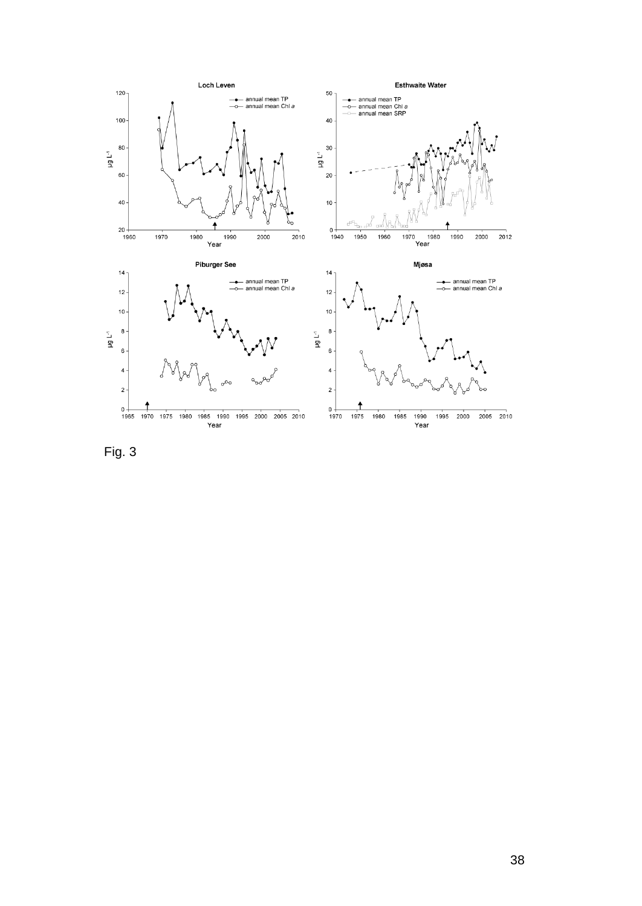

Fig. 3